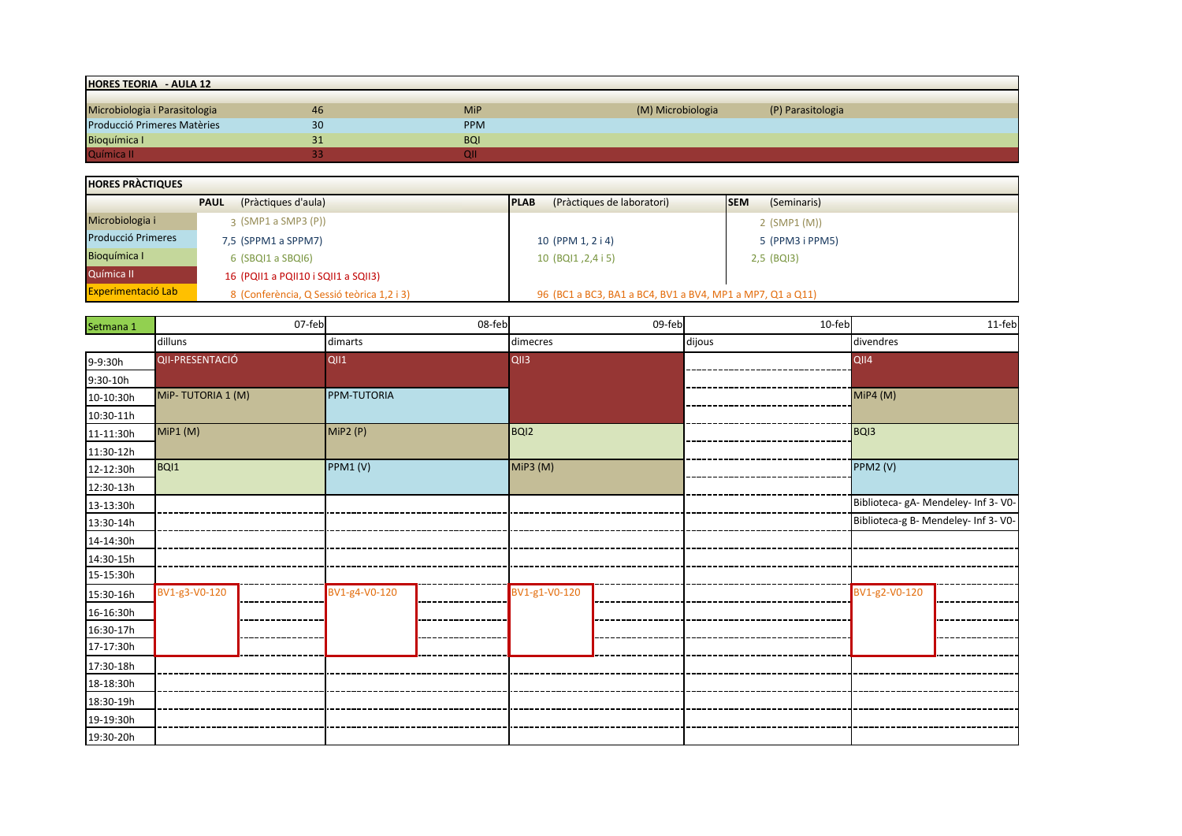| <b>HORES TEORIA - AULA 12</b> |    |            |                   |                   |  |  |  |  |  |  |  |
|-------------------------------|----|------------|-------------------|-------------------|--|--|--|--|--|--|--|
|                               |    |            |                   |                   |  |  |  |  |  |  |  |
| Microbiologia i Parasitologia | 46 | <b>MiP</b> | (M) Microbiologia | (P) Parasitologia |  |  |  |  |  |  |  |
| Producció Primeres Matèries   | 30 | <b>PPM</b> |                   |                   |  |  |  |  |  |  |  |
| Bioquímica I                  | 31 | <b>BQI</b> |                   |                   |  |  |  |  |  |  |  |
| Química II                    |    |            |                   |                   |  |  |  |  |  |  |  |

| <b>HORES PRACTIQUES</b>   |                                           |                                                           |                            |  |  |  |  |  |  |  |  |
|---------------------------|-------------------------------------------|-----------------------------------------------------------|----------------------------|--|--|--|--|--|--|--|--|
|                           | (Pràctiques d'aula)<br><b>PAUL</b>        | (Pràctiques de laboratori)<br><b>IPLAB</b>                | (Seminaris)<br><b>ISEM</b> |  |  |  |  |  |  |  |  |
| Microbiologia i           | $3$ (SMP1 a SMP3 (P))                     |                                                           | $2$ (SMP1 (M))             |  |  |  |  |  |  |  |  |
| <b>Producció Primeres</b> | 7,5 (SPPM1 a SPPM7)                       | 10 (PPM 1, 2 i 4)                                         | 5 (PPM3 i PPM5)            |  |  |  |  |  |  |  |  |
| Bioquímica I              | $6$ (SBQI1 a SBQI6)                       | 10 (BQI1, 2,4 i 5)                                        | $2,5$ (BQI3)               |  |  |  |  |  |  |  |  |
| Química II                | 16 (PQII1 a PQII10 i SQII1 a SQII3)       |                                                           |                            |  |  |  |  |  |  |  |  |
| <b>Experimentació Lab</b> | 8 (Conferència, Q Sessió teòrica 1,2 i 3) | 96 (BC1 a BC3, BA1 a BC4, BV1 a BV4, MP1 a MP7, Q1 a Q11) |                            |  |  |  |  |  |  |  |  |

| Setmana 1 | 07-feb            | 08-feb             | 09-feb           | 10-feb | 11-feb                               |  |
|-----------|-------------------|--------------------|------------------|--------|--------------------------------------|--|
|           | dilluns           | dimarts            | dimecres         | dijous | divendres                            |  |
| 9-9:30h   | QII-PRESENTACIÓ   | <b>QII1</b>        | QII3             |        | QII4                                 |  |
| 9:30-10h  |                   |                    |                  |        |                                      |  |
| 10-10:30h | MiP-TUTORIA 1 (M) | <b>PPM-TUTORIA</b> |                  |        | <b>MiP4 (M)</b>                      |  |
| 10:30-11h |                   |                    |                  |        |                                      |  |
| 11-11:30h | MIP1(M)           | MiP2(P)            | BQ <sub>12</sub> |        | BQ <sub>13</sub>                     |  |
| 11:30-12h |                   |                    |                  |        |                                      |  |
| 12-12:30h | BQI1              | PPM1(V)            | MiP3 (M)         |        | PPM2 (V)                             |  |
| 12:30-13h |                   |                    |                  |        |                                      |  |
| 13-13:30h |                   |                    |                  |        | Biblioteca- gA- Mendeley- Inf 3- V0- |  |
| 13:30-14h |                   |                    |                  |        | Biblioteca-g B- Mendeley- Inf 3- V0- |  |
| 14-14:30h |                   |                    |                  |        |                                      |  |
| 14:30-15h |                   |                    |                  |        |                                      |  |
| 15-15:30h |                   |                    |                  |        |                                      |  |
| 15:30-16h | BV1-g3-V0-120     | BV1-g4-V0-120      | BV1-g1-V0-120    |        | BV1-g2-V0-120                        |  |
| 16-16:30h |                   |                    |                  |        |                                      |  |
| 16:30-17h |                   |                    |                  |        |                                      |  |
| 17-17:30h |                   |                    |                  |        |                                      |  |
| 17:30-18h |                   |                    |                  |        |                                      |  |
| 18-18:30h |                   |                    |                  |        |                                      |  |
| 18:30-19h |                   |                    |                  |        |                                      |  |
| 19-19:30h |                   |                    |                  |        |                                      |  |
| 19:30-20h |                   |                    |                  |        |                                      |  |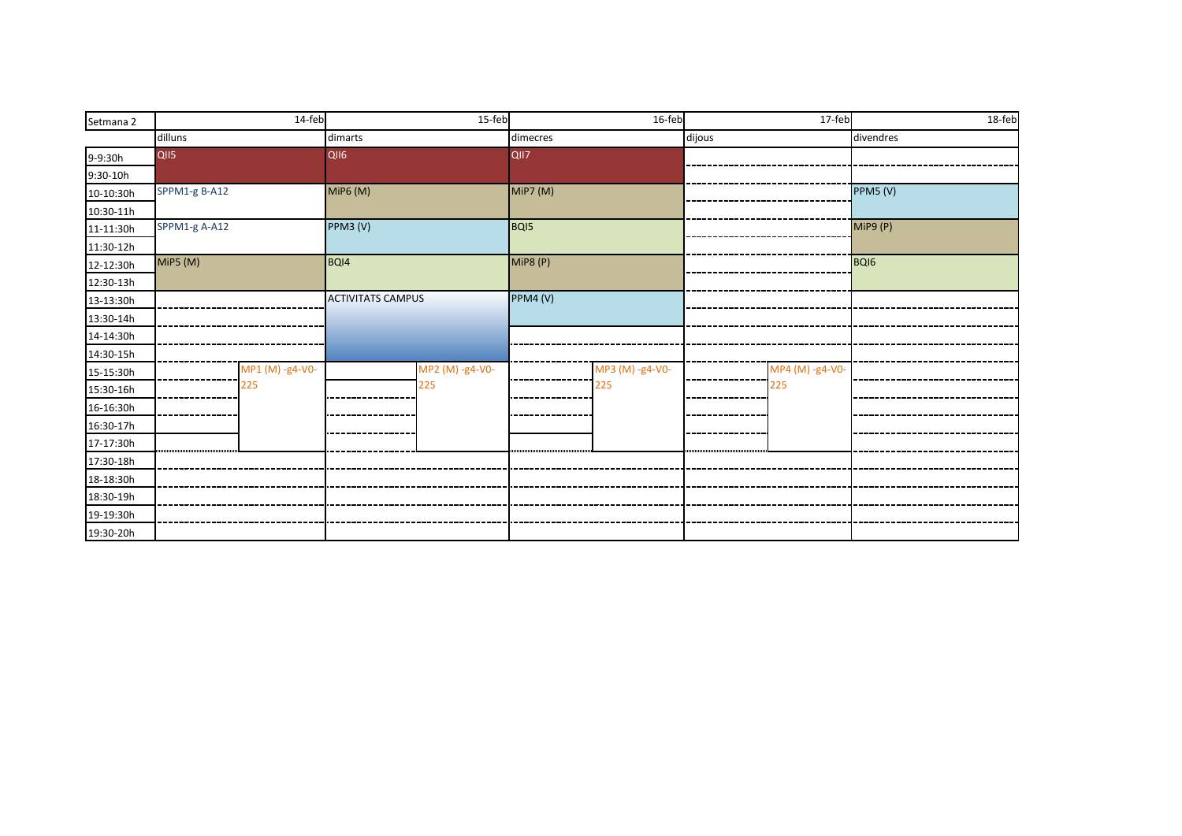| Setmana 2  |               | 14-feb          |                          | 15-feb          |                  | 16-feb          |        | 17-feb          |           | 18-feb |
|------------|---------------|-----------------|--------------------------|-----------------|------------------|-----------------|--------|-----------------|-----------|--------|
|            | dilluns       |                 | dimarts                  |                 | dimecres         |                 | dijous |                 | divendres |        |
| 9-9:30h    | QII5          |                 | QII6                     |                 | QII7             |                 |        |                 |           |        |
| $9:30-10h$ |               |                 |                          |                 |                  |                 |        |                 |           |        |
| 10-10:30h  | SPPM1-g B-A12 |                 | <b>MiP6 (M)</b>          |                 | MiP7 (M)         |                 |        |                 | PPM5 (V)  |        |
| 10:30-11h  |               |                 |                          |                 |                  |                 |        |                 |           |        |
| 11-11:30h  | SPPM1-g A-A12 |                 | PPM3 (V)                 |                 | BQ <sub>15</sub> |                 |        |                 | MiP9 (P)  |        |
| 11:30-12h  |               |                 |                          |                 |                  |                 |        |                 |           |        |
| 12-12:30h  | MiP5 (M)      |                 | BQI4                     |                 | <b>MiP8 (P)</b>  |                 |        |                 | BQI6      |        |
| 12:30-13h  |               |                 |                          |                 |                  |                 |        |                 |           |        |
| 13-13:30h  |               |                 | <b>ACTIVITATS CAMPUS</b> |                 | PPM4 (V)         |                 |        |                 |           |        |
| 13:30-14h  |               |                 |                          |                 |                  |                 |        |                 |           |        |
| 14-14:30h  |               |                 |                          |                 |                  |                 |        |                 |           |        |
| 14:30-15h  |               |                 |                          |                 |                  |                 |        |                 |           |        |
| 15-15:30h  |               | MP1 (M) -g4-V0- |                          | MP2 (M) -g4-V0- |                  | MP3 (M) -g4-V0- |        | MP4 (M) -g4-V0- |           |        |
| 15:30-16h  |               | 225             |                          | 225             |                  | 225             |        | 225             |           |        |
| 16-16:30h  |               |                 |                          |                 |                  |                 |        |                 |           |        |
| 16:30-17h  |               |                 |                          |                 |                  |                 |        |                 |           |        |
| 17-17:30h  |               |                 |                          |                 |                  |                 |        |                 |           |        |
| 17:30-18h  |               |                 |                          |                 |                  |                 |        |                 |           |        |
| 18-18:30h  |               |                 |                          |                 |                  |                 |        |                 |           |        |
| 18:30-19h  |               |                 |                          |                 |                  |                 |        |                 |           |        |
| 19-19:30h  |               |                 |                          |                 |                  |                 |        |                 |           |        |
| 19:30-20h  |               |                 |                          |                 |                  |                 |        |                 |           |        |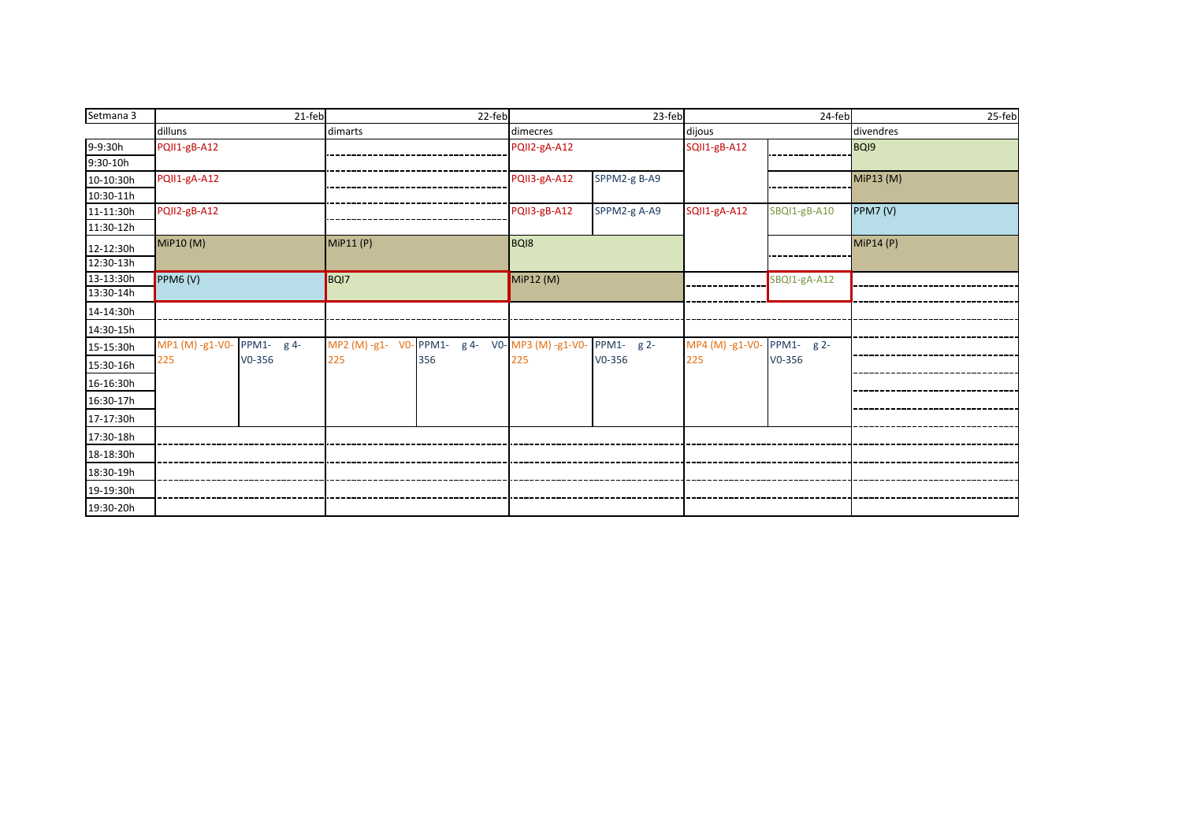| Setmana 3 |                            | 21-feb   |          | 22-feb                                          | 23-feb       |              |                 | 24-feb       | 25-feb          |
|-----------|----------------------------|----------|----------|-------------------------------------------------|--------------|--------------|-----------------|--------------|-----------------|
|           | dilluns                    |          | dimarts  |                                                 | dimecres     |              | dijous          |              | divendres       |
| 9-9:30h   | PQII1-gB-A12               |          |          |                                                 | PQII2-gA-A12 |              | SQII1-gB-A12    |              | BQI9            |
| 9:30-10h  |                            |          |          |                                                 |              |              |                 |              |                 |
| 10-10:30h | PQII1-gA-A12               |          |          |                                                 | PQII3-gA-A12 | SPPM2-g B-A9 |                 |              | MiP13 (M)       |
| 10:30-11h |                            |          |          |                                                 |              |              |                 |              |                 |
| 11-11:30h | PQII2-gB-A12               |          |          |                                                 | PQII3-gB-A12 | SPPM2-g A-A9 | SQII1-gA-A12    | SBQI1-gB-A10 | <b>PPM7 (V)</b> |
| 11:30-12h |                            |          |          |                                                 |              |              |                 |              |                 |
| 12-12:30h | MiP10 (M)                  |          | MIP11(P) | BQ <sub>18</sub>                                |              |              |                 |              | MiP14 (P)       |
| 12:30-13h |                            |          |          |                                                 |              |              |                 |              |                 |
| 13-13:30h | PPM6 (V)                   |          | BQI7     |                                                 | MiP12 (M)    |              |                 | SBQI1-gA-A12 |                 |
| 13:30-14h |                            |          |          |                                                 |              |              |                 |              |                 |
| 14-14:30h |                            |          |          |                                                 |              |              |                 |              |                 |
| 14:30-15h |                            |          |          |                                                 |              |              |                 |              |                 |
| 15-15:30h | MP1 (M) -g1-V0- PPM1- g 4- |          |          | MP2 (M) -g1- V0- PPM1- g 4- V0- MP3 (M) -g1-V0- |              | PPM1- g 2-   | MP4 (M) -g1-V0- | PPM1- g 2-   |                 |
| 15:30-16h | 225                        | $V0-356$ | 225      | 356                                             | 225          | $V0 - 356$   | 225             | $V0 - 356$   |                 |
| 16-16:30h |                            |          |          |                                                 |              |              |                 |              |                 |
| 16:30-17h |                            |          |          |                                                 |              |              |                 |              |                 |
| 17-17:30h |                            |          |          |                                                 |              |              |                 |              |                 |
| 17:30-18h |                            |          |          |                                                 |              |              |                 |              |                 |
| 18-18:30h |                            |          |          |                                                 |              |              |                 |              |                 |
| 18:30-19h |                            |          |          |                                                 |              |              |                 |              |                 |
| 19-19:30h |                            |          |          |                                                 |              |              |                 |              |                 |
|           |                            |          |          |                                                 |              |              |                 |              |                 |
| 19:30-20h |                            |          |          |                                                 |              |              |                 |              |                 |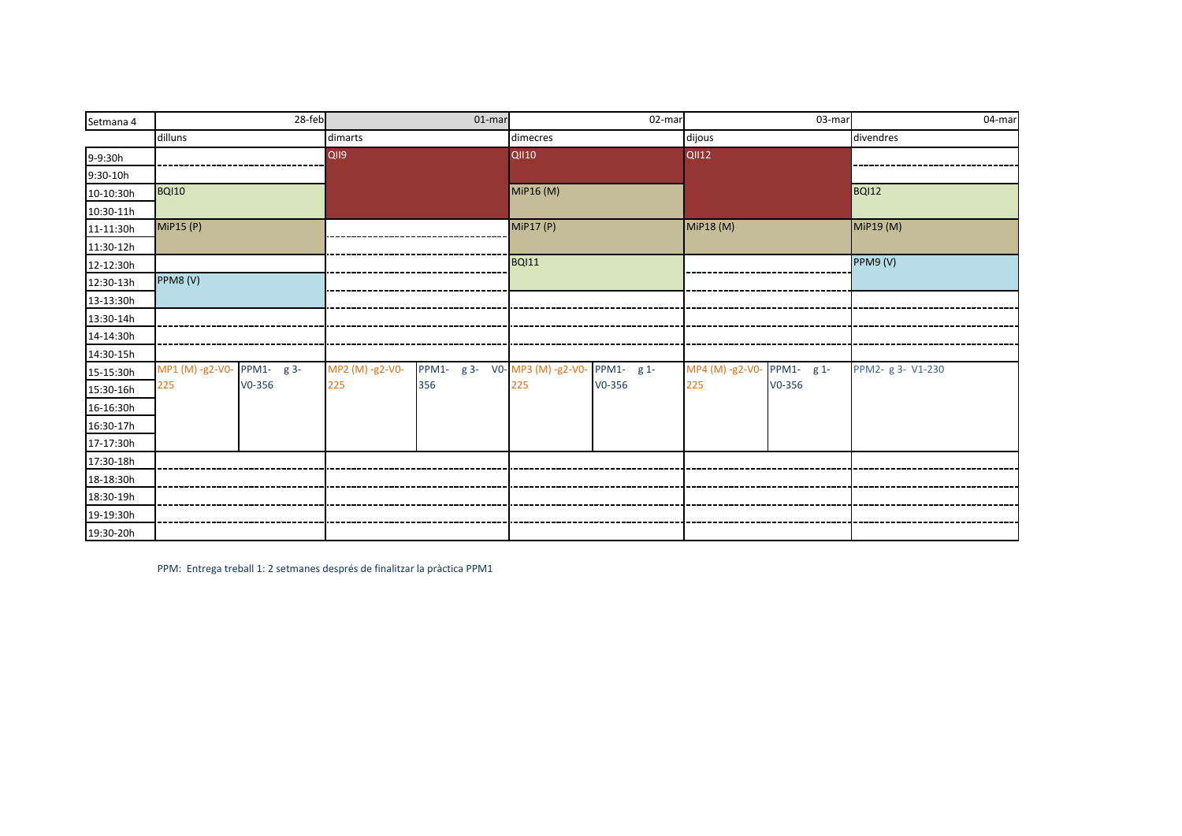| Setmana 4 |                            | 28-feb   |                 | $01$ -mar                               | 02-mar       |        | 03-mar                     |            | 04-mar            |
|-----------|----------------------------|----------|-----------------|-----------------------------------------|--------------|--------|----------------------------|------------|-------------------|
|           | dilluns                    |          | dimarts         |                                         | dimecres     |        | dijous                     |            | divendres         |
| 9-9:30h   |                            |          | QII9            |                                         | <b>QII10</b> |        | <b>QII12</b>               |            |                   |
| 9:30-10h  |                            |          |                 |                                         |              |        |                            |            |                   |
| 10-10:30h | <b>BQI10</b>               |          |                 |                                         | MiP16 (M)    |        |                            |            | BQI12             |
| 10:30-11h |                            |          |                 |                                         |              |        |                            |            |                   |
| 11-11:30h | MiP15 (P)                  |          |                 |                                         | MiP17 (P)    |        | MiP18 (M)                  |            | MiP19 (M)         |
| 11:30-12h |                            |          |                 |                                         |              |        |                            |            |                   |
| 12-12:30h |                            |          |                 |                                         | <b>BQI11</b> |        |                            |            | PPM9 (V)          |
| 12:30-13h | PPM8 (V)                   |          |                 |                                         |              |        |                            |            |                   |
| 13-13:30h |                            |          |                 |                                         |              |        |                            |            |                   |
| 13:30-14h |                            |          |                 |                                         |              |        |                            |            |                   |
| 14-14:30h |                            |          |                 |                                         |              |        |                            |            |                   |
| 14:30-15h |                            |          |                 |                                         |              |        |                            |            |                   |
| 15-15:30h | MP1 (M) -g2-V0- PPM1- g 3- |          | MP2 (M) -g2-V0- | PPM1- g 3- V0-MP3 (M) -g2-V0-PPM1- g 1- |              |        | MP4 (M) -g2-V0- PPM1- g 1- |            | PPM2- g 3- V1-230 |
| 15:30-16h | 225                        | $V0-356$ | 225             | 356                                     | 225          | V0-356 | 225                        | $V0 - 356$ |                   |
| 16-16:30h |                            |          |                 |                                         |              |        |                            |            |                   |
| 16:30-17h |                            |          |                 |                                         |              |        |                            |            |                   |
| 17-17:30h |                            |          |                 |                                         |              |        |                            |            |                   |
| 17:30-18h |                            |          |                 |                                         |              |        |                            |            |                   |
| 18-18:30h |                            |          |                 |                                         |              |        |                            |            |                   |
| 18:30-19h |                            |          |                 |                                         |              |        |                            |            |                   |
| 19-19:30h |                            |          |                 |                                         |              |        |                            |            |                   |
| 19:30-20h |                            |          |                 |                                         |              |        |                            |            |                   |

PPM: Entrega treball 1: 2 setmanes després de finalitzar la pràctica PPM1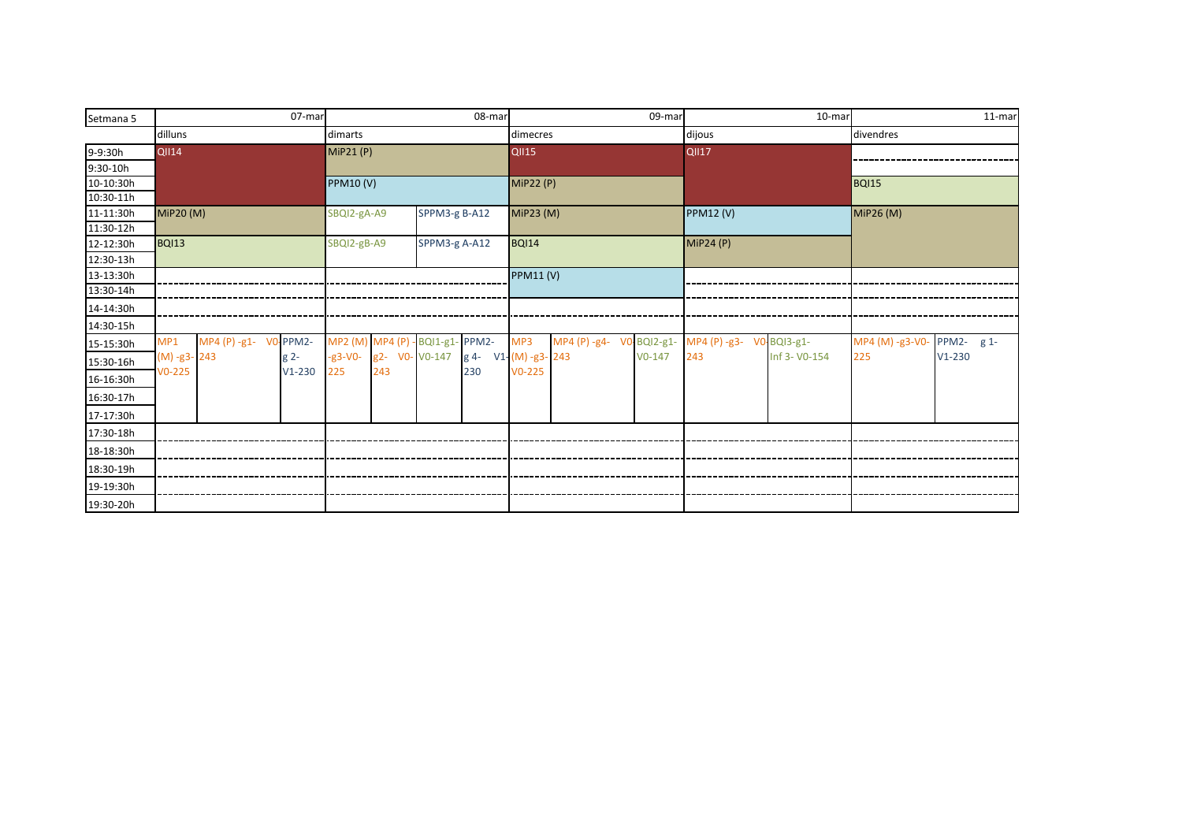| Setmana 5   | 07-mar                       |          |                  |                |                                  | 08-mar              |                                |  |          | 09-mar | 10-mar                                            |               | 11-mar          |            |
|-------------|------------------------------|----------|------------------|----------------|----------------------------------|---------------------|--------------------------------|--|----------|--------|---------------------------------------------------|---------------|-----------------|------------|
|             | dilluns                      |          | dimarts          |                |                                  |                     | dimecres                       |  |          |        | dijous                                            |               | divendres       |            |
| 9-9:30h     | <b>QII14</b>                 |          | <b>MiP21 (P)</b> |                |                                  |                     | $\overline{Q}$ <sub>1115</sub> |  |          |        | <b>QII17</b>                                      |               |                 |            |
| 9:30-10h    |                              |          |                  |                |                                  |                     |                                |  |          |        |                                                   |               |                 |            |
| 10-10:30h   |                              |          | <b>PPM10 (V)</b> |                | <b>MiP22 (P)</b>                 |                     |                                |  |          |        | <b>BQI15</b>                                      |               |                 |            |
| $10:30-11h$ |                              |          |                  |                |                                  |                     |                                |  |          |        |                                                   |               |                 |            |
| 11-11:30h   | MiP20 (M)                    |          | SBQI2-gA-A9      |                | SPPM3-g B-A12                    |                     | MiP23 (M)                      |  |          |        | <b>PPM12 (V)</b>                                  |               | MiP26 (M)       |            |
| 11:30-12h   |                              |          |                  |                |                                  |                     |                                |  |          |        |                                                   |               |                 |            |
| 12-12:30h   | <b>BQI13</b>                 |          | SBQI2-gB-A9      |                | SPPM3-g A-A12                    |                     | <b>BQI14</b>                   |  |          |        | MiP24(P)                                          |               |                 |            |
| 12:30-13h   |                              |          |                  |                |                                  |                     |                                |  |          |        |                                                   |               |                 |            |
| 13-13:30h   |                              |          |                  |                |                                  |                     | <b>PPM11 (V)</b>               |  |          |        |                                                   |               |                 |            |
| 13:30-14h   |                              |          |                  |                |                                  |                     |                                |  |          |        |                                                   |               |                 |            |
| 14-14:30h   |                              |          |                  |                |                                  |                     |                                |  |          |        |                                                   |               |                 |            |
| 14:30-15h   |                              |          |                  |                |                                  |                     |                                |  |          |        |                                                   |               |                 |            |
| 15-15:30h   | MP4 (P) -g1- V0-PPM2-<br>MP1 |          |                  |                | MP2 (M) MP4 (P) - BQI1-g1- PPM2- |                     | MP3                            |  |          |        | MP4 (P) -g4- VO BQI2-g1- MP4 (P) -g3- VO BQI3-g1- |               | MP4 (M) -g3-V0- | PPM2- g 1- |
| 15:30-16h   | (M) -g3-243                  | $g2-$    | $-g3-V0-$        | g2- V0- V0-147 |                                  | g 4- V1-(M) -g3-243 |                                |  | $V0-147$ |        | 243                                               | Inf 3- V0-154 | 225             | $V1-230$   |
| 16-16:30h   | $V0-225$                     | $V1-230$ | 225              | 243            |                                  | 230                 | $V0-225$                       |  |          |        |                                                   |               |                 |            |
| 16:30-17h   |                              |          |                  |                |                                  |                     |                                |  |          |        |                                                   |               |                 |            |
| 17-17:30h   |                              |          |                  |                |                                  |                     |                                |  |          |        |                                                   |               |                 |            |
| 17:30-18h   |                              |          |                  |                |                                  |                     |                                |  |          |        |                                                   |               |                 |            |
| 18-18:30h   |                              |          |                  |                |                                  |                     |                                |  |          |        |                                                   |               |                 |            |
| 18:30-19h   |                              |          |                  |                |                                  |                     |                                |  |          |        |                                                   |               |                 |            |
| 19-19:30h   |                              |          |                  |                |                                  |                     |                                |  |          |        |                                                   |               |                 |            |
| 19:30-20h   |                              |          |                  |                |                                  |                     |                                |  |          |        |                                                   |               |                 |            |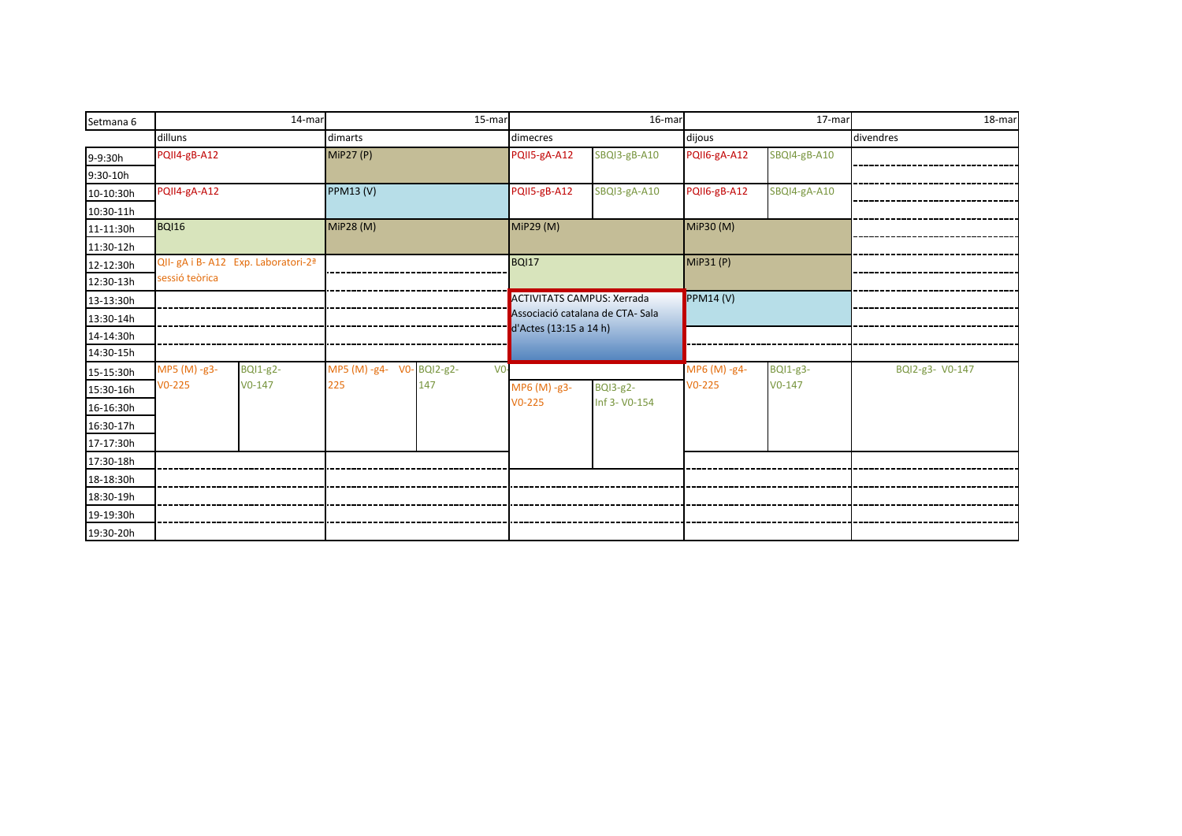| Setmana 6 |                                                 | 14-mar          |                           | 15-mar          |                                   | 16-mar          |              | 17-mar          | 18-mar          |
|-----------|-------------------------------------------------|-----------------|---------------------------|-----------------|-----------------------------------|-----------------|--------------|-----------------|-----------------|
|           | dilluns                                         |                 | dimarts                   |                 | dimecres                          |                 | dijous       |                 | divendres       |
| 9-9:30h   | PQII4-gB-A12                                    |                 | <b>MiP27 (P)</b>          |                 | PQII5-gA-A12                      | SBQI3-gB-A10    | PQII6-gA-A12 | SBQI4-gB-A10    |                 |
| 9:30-10h  |                                                 |                 |                           |                 |                                   |                 |              |                 |                 |
| 10-10:30h | PQII4-gA-A12                                    |                 | <b>PPM13 (V)</b>          |                 | PQII5-gB-A12                      | SBQI3-gA-A10    | PQII6-gB-A12 | SBQI4-gA-A10    |                 |
| 10:30-11h |                                                 |                 |                           |                 |                                   |                 |              |                 |                 |
| 11-11:30h | <b>BQI16</b>                                    |                 | <b>MiP28 (M)</b>          |                 | MIP29(M)                          |                 | MiP30 (M)    |                 |                 |
| 11:30-12h |                                                 |                 |                           |                 |                                   |                 |              |                 |                 |
| 12-12:30h | QII- gA i B- A12 Exp. Laboratori-2 <sup>ª</sup> |                 |                           |                 | <b>BQI17</b>                      |                 | MIP31(P)     |                 |                 |
| 12:30-13h | sessió teòrica                                  |                 |                           |                 |                                   |                 |              |                 |                 |
| 13-13:30h |                                                 |                 |                           |                 | <b>ACTIVITATS CAMPUS: Xerrada</b> |                 | PPM14(V)     |                 |                 |
| 13:30-14h |                                                 |                 |                           |                 | Associació catalana de CTA-Sala   |                 |              |                 |                 |
| 14-14:30h |                                                 |                 |                           |                 | d'Actes (13:15 a 14 h)            |                 |              |                 |                 |
| 14:30-15h |                                                 |                 |                           |                 |                                   |                 |              |                 |                 |
| 15-15:30h | MP5 (M) -g3-                                    | <b>BQI1-g2-</b> | MP5 (M) -g4- V0- BQI2-g2- | vo <sup>1</sup> |                                   |                 | MP6 (M) -g4- | <b>BQI1-g3-</b> | BQI2-g3- V0-147 |
| 15:30-16h | $V0-225$                                        | $V0-147$        | 225                       | 147             | MP6 (M) -g3-                      | <b>BQI3-g2-</b> | $V0-225$     | $V0-147$        |                 |
| 16-16:30h |                                                 |                 |                           |                 | $V0-225$                          | Inf 3- V0-154   |              |                 |                 |
| 16:30-17h |                                                 |                 |                           |                 |                                   |                 |              |                 |                 |
| 17-17:30h |                                                 |                 |                           |                 |                                   |                 |              |                 |                 |
| 17:30-18h |                                                 |                 |                           |                 |                                   |                 |              |                 |                 |
| 18-18:30h |                                                 |                 |                           |                 |                                   |                 |              |                 |                 |
| 18:30-19h |                                                 |                 |                           |                 |                                   |                 |              |                 |                 |
| 19-19:30h |                                                 |                 |                           |                 |                                   |                 |              |                 |                 |
| 19:30-20h |                                                 |                 |                           |                 |                                   |                 |              |                 |                 |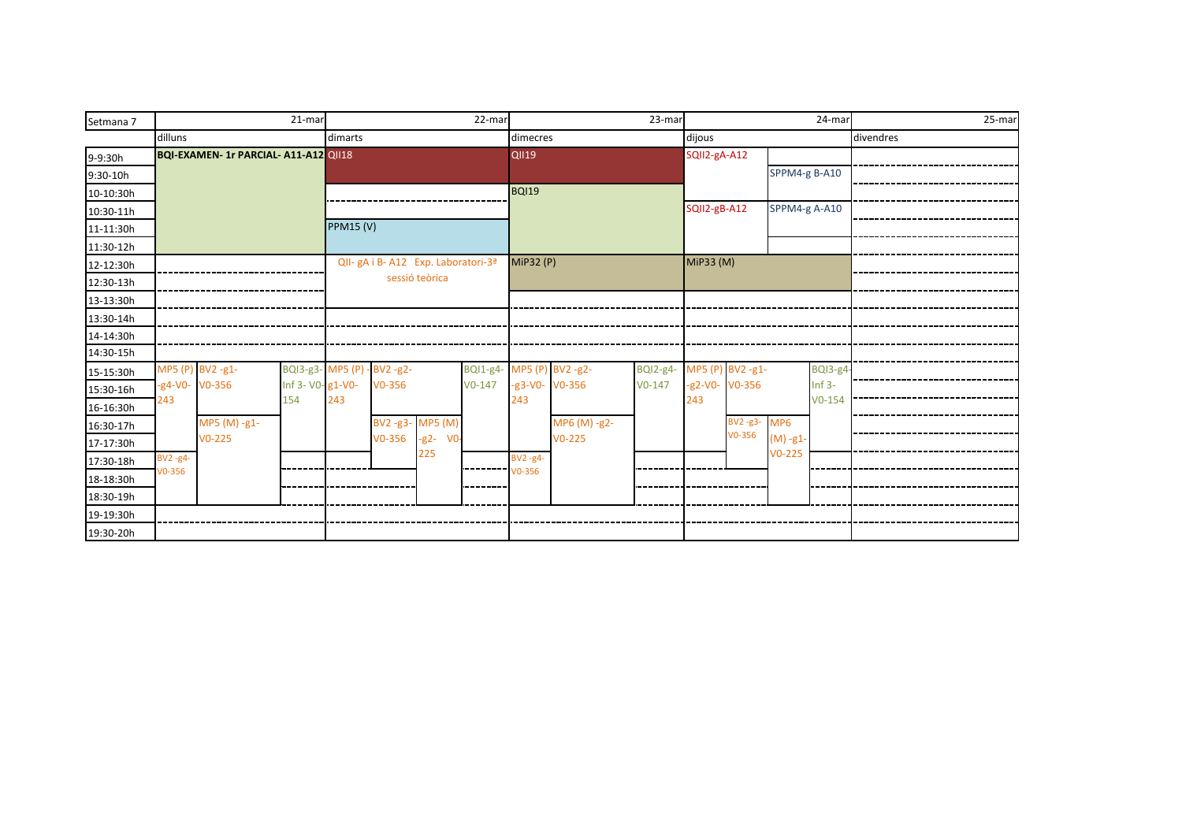| Setmana 7  |              |                                     | 21-mar           |                                     |            |                          | 22-mar                   |                 |              | 23-mar                   |                 |               |               | 24-mar   |           | 25-mar |
|------------|--------------|-------------------------------------|------------------|-------------------------------------|------------|--------------------------|--------------------------|-----------------|--------------|--------------------------|-----------------|---------------|---------------|----------|-----------|--------|
|            | dilluns      |                                     |                  | dimarts                             |            |                          |                          | dimecres        |              |                          | dijous          |               |               |          | divendres |        |
| 9-9:30h    |              | BQI-EXAMEN-1r PARCIAL-A11-A12 QII18 |                  |                                     |            |                          |                          | <b>QII19</b>    |              |                          | SQII2-gA-A12    |               |               |          |           |        |
| $9:30-10h$ |              |                                     |                  |                                     |            |                          |                          |                 |              |                          |                 |               | SPPM4-g B-A10 |          |           |        |
| 10-10:30h  |              |                                     |                  |                                     |            |                          |                          | <b>BQI19</b>    |              |                          |                 |               |               |          |           |        |
| 10:30-11h  |              |                                     |                  |                                     |            |                          |                          |                 |              | SQII2-gB-A12             |                 | SPPM4-g A-A10 |               |          |           |        |
| 11-11:30h  |              |                                     |                  | <b>PPM15 (V)</b>                    |            |                          |                          |                 |              |                          |                 |               |               |          |           |        |
| 11:30-12h  |              |                                     |                  |                                     |            |                          |                          |                 |              |                          |                 |               |               |          |           |        |
| 12-12:30h  |              |                                     |                  | QII- gA i B- A12 Exp. Laboratori-3ª |            |                          |                          | MiP32 (P)       |              |                          | MiP33 (M)       |               |               |          |           |        |
| 12:30-13h  |              |                                     |                  |                                     |            | sessió teòrica           |                          |                 |              |                          |                 |               |               |          |           |        |
| 13-13:30h  |              |                                     |                  |                                     |            |                          |                          |                 |              |                          |                 |               |               |          |           |        |
| 13:30-14h  |              |                                     |                  |                                     |            |                          |                          |                 |              |                          |                 |               |               |          |           |        |
| 14-14:30h  |              |                                     |                  |                                     |            |                          |                          |                 |              |                          |                 |               |               |          |           |        |
| 14:30-15h  |              |                                     |                  |                                     |            |                          |                          |                 |              |                          |                 |               |               |          |           |        |
| 15-15:30h  |              | MP5 (P) BV2 -g1-                    |                  | BQI3-g3- MP5 (P) - BV2-g2-          |            |                          | BQI1-g4- MP5 (P) BV2-g2- |                 |              | BQI2-g4- MP5 (P) BV2-g1- |                 |               |               | BQI3-g4  |           |        |
| 15:30-16h  |              | $-g4-V0-V0-356$                     | Inf 3- V0-g1-V0- |                                     | $V0-356$   |                          | $V0-147$                 | $-g3-V0-V0-356$ |              | $V0-147$                 | $-g2-V0-V0-356$ |               |               | $Inf$ 3- |           |        |
| 16-16:30h  | 243          |                                     | 154              | 243                                 |            |                          |                          | 243             |              |                          | 243             |               |               | $V0-154$ |           |        |
| 16:30-17h  |              | MP5 (M) -g1-                        |                  |                                     |            | BV2-g3- MP5 (M)          |                          |                 | MP6 (M) -g2- |                          |                 | BV2-g3-MP6    |               |          |           |        |
| 17-17:30h  |              | $V0 - 225$                          |                  |                                     | $V0 - 356$ | $-g2-$<br>V <sub>0</sub> |                          |                 | $V0-225$     |                          |                 | $V0-356$      | $(M) - g1 -$  |          |           |        |
| 17:30-18h  | $BV2 - g4$ - |                                     |                  |                                     |            | 225                      |                          | $BV2 - g4$ -    |              |                          |                 |               | $V0-225$      |          |           |        |
| 18-18:30h  | V0-356       |                                     |                  |                                     |            |                          |                          | $T1$ vo-356     |              |                          |                 |               |               |          |           |        |
| 18:30-19h  |              |                                     |                  |                                     |            |                          |                          |                 |              |                          |                 |               |               |          |           |        |
| 19-19:30h  |              |                                     |                  |                                     |            |                          |                          |                 |              |                          |                 |               |               |          |           |        |
| 19:30-20h  |              |                                     |                  |                                     |            |                          |                          |                 |              |                          |                 |               |               |          |           |        |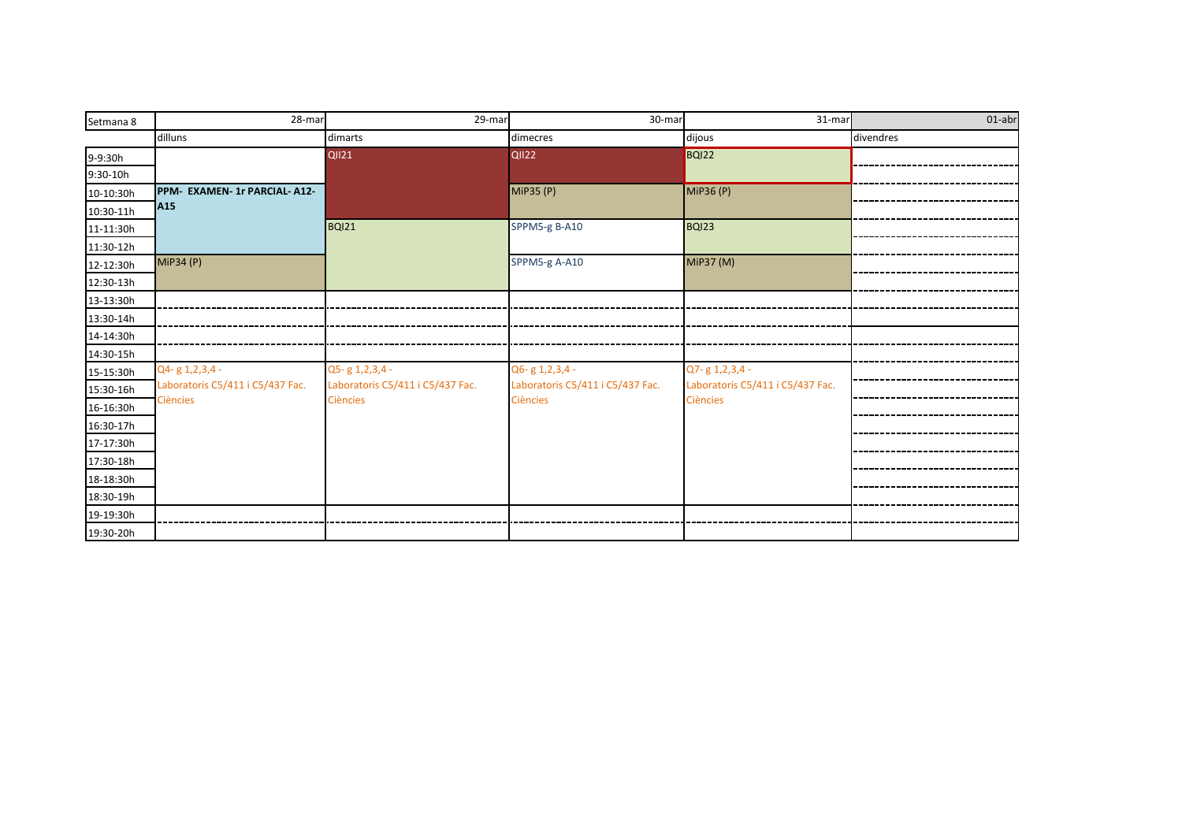| Setmana 8 | 28-mar                           | 29-mar                           | 30-mar                           | 31-mar                           | 01-abr    |
|-----------|----------------------------------|----------------------------------|----------------------------------|----------------------------------|-----------|
|           | dilluns                          | dimarts                          | dimecres                         | dijous                           | divendres |
| 9-9:30h   |                                  | <b>QII21</b>                     | <b>QII22</b>                     | BQI22                            |           |
| 9:30-10h  |                                  |                                  |                                  |                                  |           |
| 10-10:30h | PPM- EXAMEN- 1r PARCIAL- A12-    |                                  | MiP35 (P)                        | MIP36(P)                         |           |
| 10:30-11h | A <sub>15</sub>                  |                                  |                                  |                                  |           |
| 11-11:30h |                                  | BQI21                            | SPPM5-g B-A10                    | <b>BQI23</b>                     |           |
| 11:30-12h |                                  |                                  |                                  |                                  |           |
| 12-12:30h | MiP34 (P)                        |                                  | SPPM5-g A-A10                    | MiP37 (M)                        |           |
| 12:30-13h |                                  |                                  |                                  |                                  |           |
| 13-13:30h |                                  |                                  |                                  |                                  |           |
| 13:30-14h |                                  |                                  |                                  |                                  |           |
| 14-14:30h |                                  |                                  |                                  |                                  |           |
| 14:30-15h |                                  |                                  |                                  |                                  |           |
| 15-15:30h | Q4-g 1,2,3,4 -                   | Q5-g 1,2,3,4 -                   | Q6-g 1,2,3,4 -                   | Q7-g 1,2,3,4 -                   |           |
| 15:30-16h | Laboratoris C5/411 i C5/437 Fac. | Laboratoris C5/411 i C5/437 Fac. | Laboratoris C5/411 i C5/437 Fac. | Laboratoris C5/411 i C5/437 Fac. |           |
| 16-16:30h | <b>Ciències</b>                  | <b>Ciències</b>                  | <b>Ciències</b>                  | <b>Ciències</b>                  |           |
| 16:30-17h |                                  |                                  |                                  |                                  |           |
| 17-17:30h |                                  |                                  |                                  |                                  |           |
| 17:30-18h |                                  |                                  |                                  |                                  |           |
| 18-18:30h |                                  |                                  |                                  |                                  |           |
| 18:30-19h |                                  |                                  |                                  |                                  |           |
| 19-19:30h |                                  |                                  |                                  |                                  |           |
| 19:30-20h |                                  |                                  |                                  |                                  |           |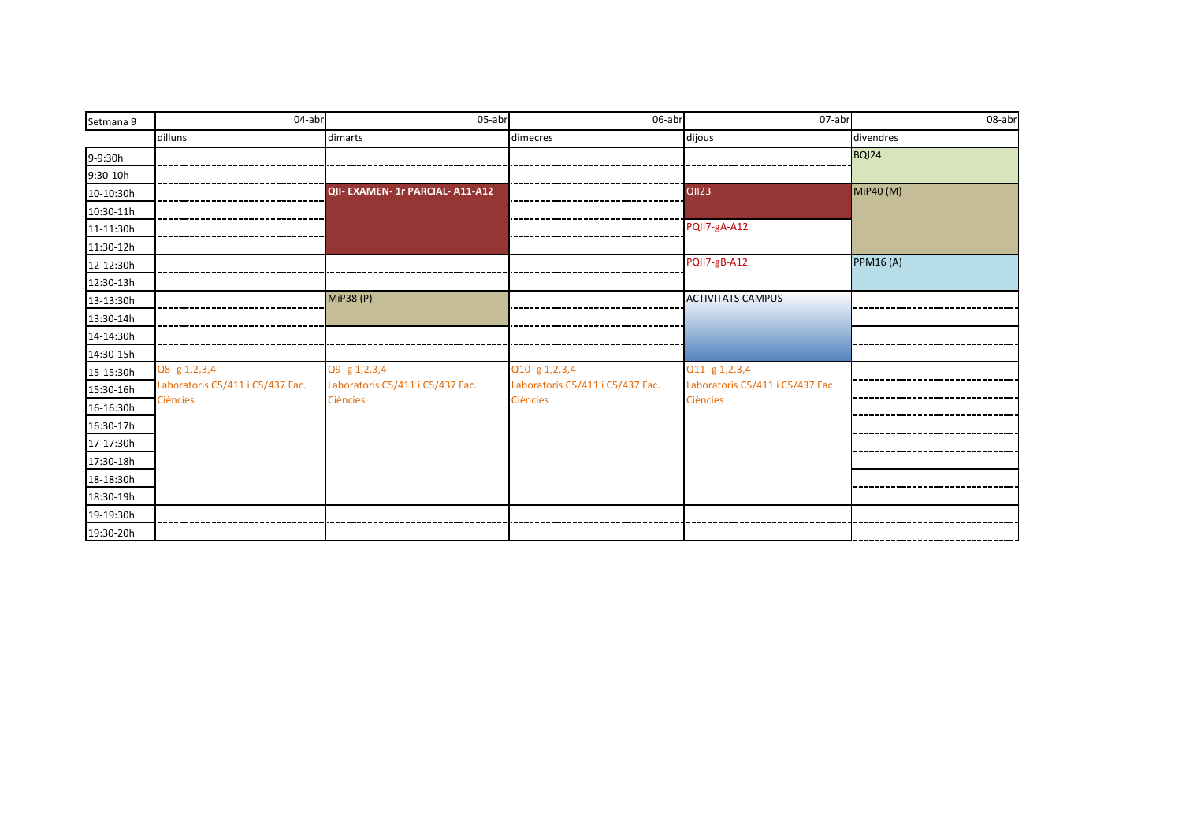| Setmana 9  | 04-abr                           | 05-abr                           | 06-abr                           | $07$ -abr                        | 08-abr           |
|------------|----------------------------------|----------------------------------|----------------------------------|----------------------------------|------------------|
|            | dilluns                          | dimarts                          | dimecres                         | dijous                           | divendres        |
| 9-9:30h    |                                  |                                  |                                  |                                  | <b>BQI24</b>     |
| $9:30-10h$ |                                  |                                  |                                  |                                  |                  |
| 10-10:30h  |                                  | QII- EXAMEN- 1r PARCIAL- A11-A12 |                                  | QII23                            | MiP40 (M)        |
| 10:30-11h  |                                  |                                  |                                  |                                  |                  |
| 11-11:30h  |                                  |                                  |                                  | PQII7-gA-A12                     |                  |
| 11:30-12h  |                                  |                                  |                                  |                                  |                  |
| 12-12:30h  |                                  |                                  |                                  | PQII7-gB-A12                     | <b>PPM16 (A)</b> |
| 12:30-13h  |                                  |                                  |                                  |                                  |                  |
| 13-13:30h  |                                  | <b>MiP38 (P)</b>                 |                                  | <b>ACTIVITATS CAMPUS</b>         |                  |
| 13:30-14h  |                                  |                                  |                                  |                                  |                  |
| 14-14:30h  |                                  |                                  |                                  |                                  |                  |
| 14:30-15h  |                                  |                                  |                                  |                                  |                  |
| 15-15:30h  | Q8-g 1,2,3,4 -                   | Q9-g 1,2,3,4 -                   | Q10-g 1, 2, 3, 4 -               | Q11-g 1,2,3,4 -                  |                  |
| 15:30-16h  | Laboratoris C5/411 i C5/437 Fac. | Laboratoris C5/411 i C5/437 Fac. | Laboratoris C5/411 i C5/437 Fac. | Laboratoris C5/411 i C5/437 Fac. |                  |
| 16-16:30h  | <b>Ciències</b>                  | <b>Ciències</b>                  | <b>Ciències</b>                  | <b>Ciències</b>                  |                  |
| 16:30-17h  |                                  |                                  |                                  |                                  |                  |
| 17-17:30h  |                                  |                                  |                                  |                                  |                  |
| 17:30-18h  |                                  |                                  |                                  |                                  |                  |
| 18-18:30h  |                                  |                                  |                                  |                                  |                  |
| 18:30-19h  |                                  |                                  |                                  |                                  |                  |
| 19-19:30h  |                                  |                                  |                                  |                                  |                  |
| 19:30-20h  |                                  |                                  |                                  |                                  |                  |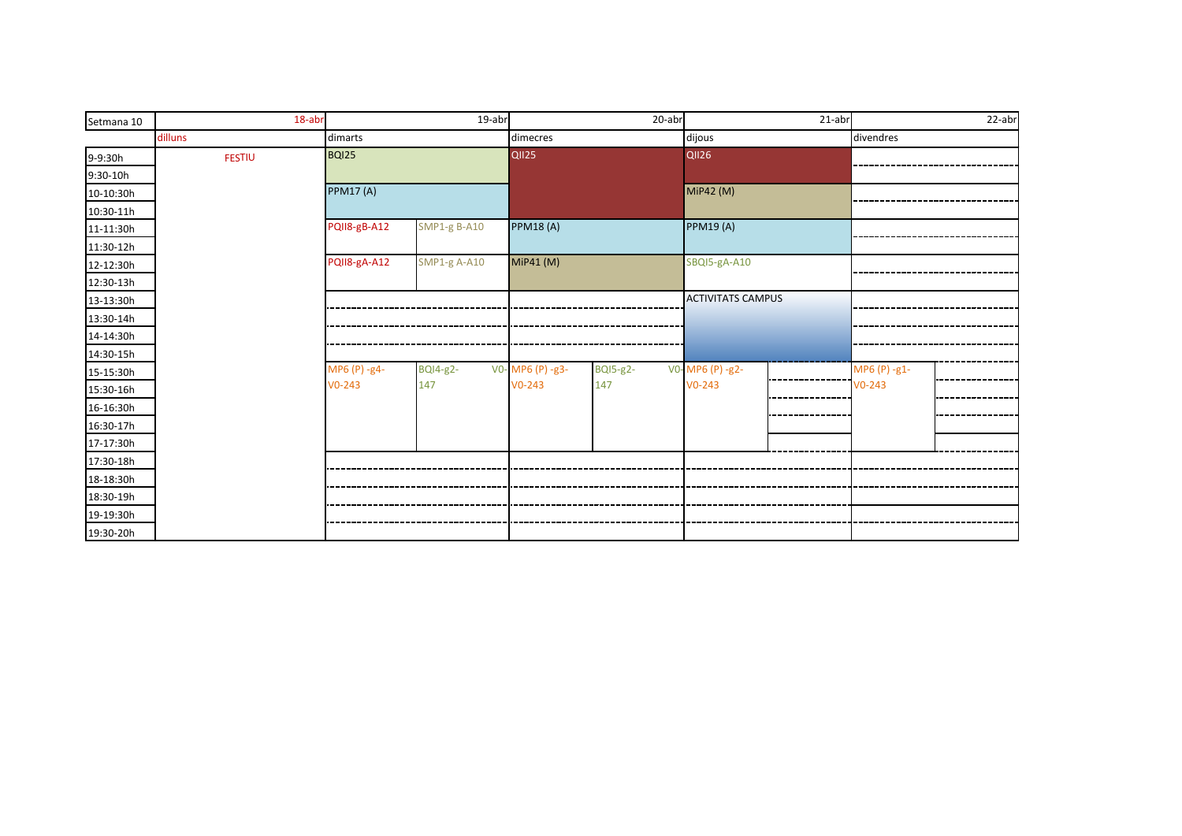| Setmana 10 | 18-abr        | 19-abr           |                     | $20$ -abr        |                 | $21$ -abr                |  | 22-abr       |  |
|------------|---------------|------------------|---------------------|------------------|-----------------|--------------------------|--|--------------|--|
|            | dilluns       | dimarts          |                     | dimecres         |                 | dijous                   |  | divendres    |  |
| 9-9:30h    | <b>FESTIU</b> | <b>BQI25</b>     |                     | <b>QII25</b>     |                 | <b>QII26</b>             |  |              |  |
| 9:30-10h   |               |                  |                     |                  |                 |                          |  |              |  |
| 10-10:30h  |               | <b>PPM17 (A)</b> |                     |                  |                 | MiP42 (M)                |  |              |  |
| 10:30-11h  |               |                  |                     |                  |                 |                          |  |              |  |
| 11-11:30h  |               | PQII8-gB-A12     | <b>SMP1-g B-A10</b> | <b>PPM18(A)</b>  |                 | <b>PPM19 (A)</b>         |  |              |  |
| 11:30-12h  |               |                  |                     |                  |                 |                          |  |              |  |
| 12-12:30h  |               | PQII8-gA-A12     | <b>SMP1-g A-A10</b> | MiP41 (M)        |                 | SBQI5-gA-A10             |  |              |  |
| 12:30-13h  |               |                  |                     |                  |                 |                          |  |              |  |
| 13-13:30h  |               |                  |                     |                  |                 | <b>ACTIVITATS CAMPUS</b> |  |              |  |
| 13:30-14h  |               |                  |                     |                  |                 |                          |  |              |  |
| 14-14:30h  |               |                  |                     |                  |                 |                          |  |              |  |
| 14:30-15h  |               |                  |                     |                  |                 |                          |  |              |  |
| 15-15:30h  |               | MP6 (P) -g4-     | <b>BQI4-g2-</b>     | V0- MP6 (P) -g3- | <b>BQI5-g2-</b> | VO-MP6 (P) -g2-          |  | MP6 (P) -g1- |  |
| 15:30-16h  |               | $V0-243$         | 147                 | $V0-243$         | 147             | $V0-243$                 |  | $V0-243$     |  |
| 16-16:30h  |               |                  |                     |                  |                 |                          |  |              |  |
| 16:30-17h  |               |                  |                     |                  |                 |                          |  |              |  |
| 17-17:30h  |               |                  |                     |                  |                 |                          |  |              |  |
| 17:30-18h  |               |                  |                     |                  |                 |                          |  |              |  |
| 18-18:30h  |               |                  |                     |                  |                 |                          |  |              |  |
| 18:30-19h  |               |                  |                     |                  |                 |                          |  |              |  |
| 19-19:30h  |               |                  |                     |                  |                 |                          |  |              |  |
| 19:30-20h  |               |                  |                     |                  |                 |                          |  |              |  |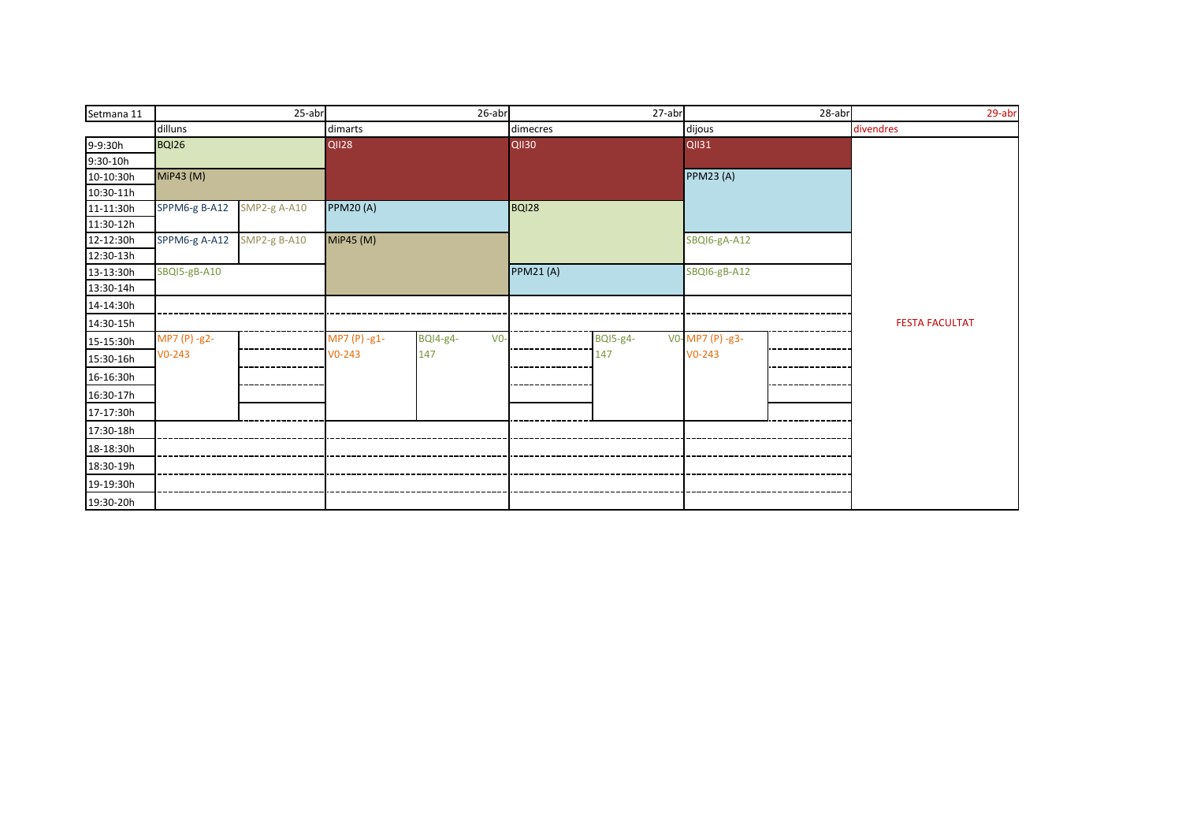| Setmana 11 |               | $25$ -abr           |                 | 26-abr                   |              | 27-abr          |                  | 28-abr | $29$ -abr             |
|------------|---------------|---------------------|-----------------|--------------------------|--------------|-----------------|------------------|--------|-----------------------|
|            | dilluns       |                     | dimarts         |                          | dimecres     |                 | dijous           |        | divendres             |
| 9-9:30h    | <b>BQI26</b>  |                     | <b>QII28</b>    |                          | <b>QII30</b> |                 | <b>QII31</b>     |        |                       |
| 9:30-10h   |               |                     |                 |                          |              |                 |                  |        |                       |
| 10-10:30h  | MiP43 (M)     |                     |                 |                          |              |                 | <b>PPM23 (A)</b> |        |                       |
| 10:30-11h  |               |                     |                 |                          |              |                 |                  |        |                       |
| 11-11:30h  | SPPM6-g B-A12 | SMP2-g A-A10        | <b>PPM20(A)</b> |                          | BQI28        |                 |                  |        |                       |
| 11:30-12h  |               |                     |                 |                          |              |                 |                  |        |                       |
| 12-12:30h  | SPPM6-g A-A12 | <b>SMP2-g B-A10</b> | MiP45 (M)       |                          |              |                 | SBQI6-gA-A12     |        |                       |
| 12:30-13h  |               |                     |                 |                          |              |                 |                  |        |                       |
| 13-13:30h  | SBQI5-gB-A10  |                     |                 |                          | PPM21(A)     |                 | SBQI6-gB-A12     |        |                       |
| 13:30-14h  |               |                     |                 |                          |              |                 |                  |        |                       |
| 14-14:30h  |               |                     |                 |                          |              |                 |                  |        |                       |
| 14:30-15h  |               |                     |                 |                          |              |                 |                  |        | <b>FESTA FACULTAT</b> |
| 15-15:30h  | MP7 (P) -g2-  |                     | MP7 (P) -g1-    | <b>BQI4-g4-</b><br>$V0-$ |              | <b>BQI5-g4-</b> | V0-MP7 (P) -g3-  |        |                       |
| 15:30-16h  | $V0-243$      |                     | $V0-243$        | 147                      |              | 147             | $V0-243$         |        |                       |
| 16-16:30h  |               |                     |                 |                          |              |                 |                  |        |                       |
| 16:30-17h  |               |                     |                 |                          |              |                 |                  |        |                       |
| 17-17:30h  |               |                     |                 |                          |              |                 |                  |        |                       |
| 17:30-18h  |               |                     |                 |                          |              |                 |                  |        |                       |
| 18-18:30h  |               |                     |                 |                          |              |                 |                  |        |                       |
| 18:30-19h  |               |                     |                 |                          |              |                 |                  |        |                       |
| 19-19:30h  |               |                     |                 |                          |              |                 |                  |        |                       |
| 19:30-20h  |               |                     |                 |                          |              |                 |                  |        |                       |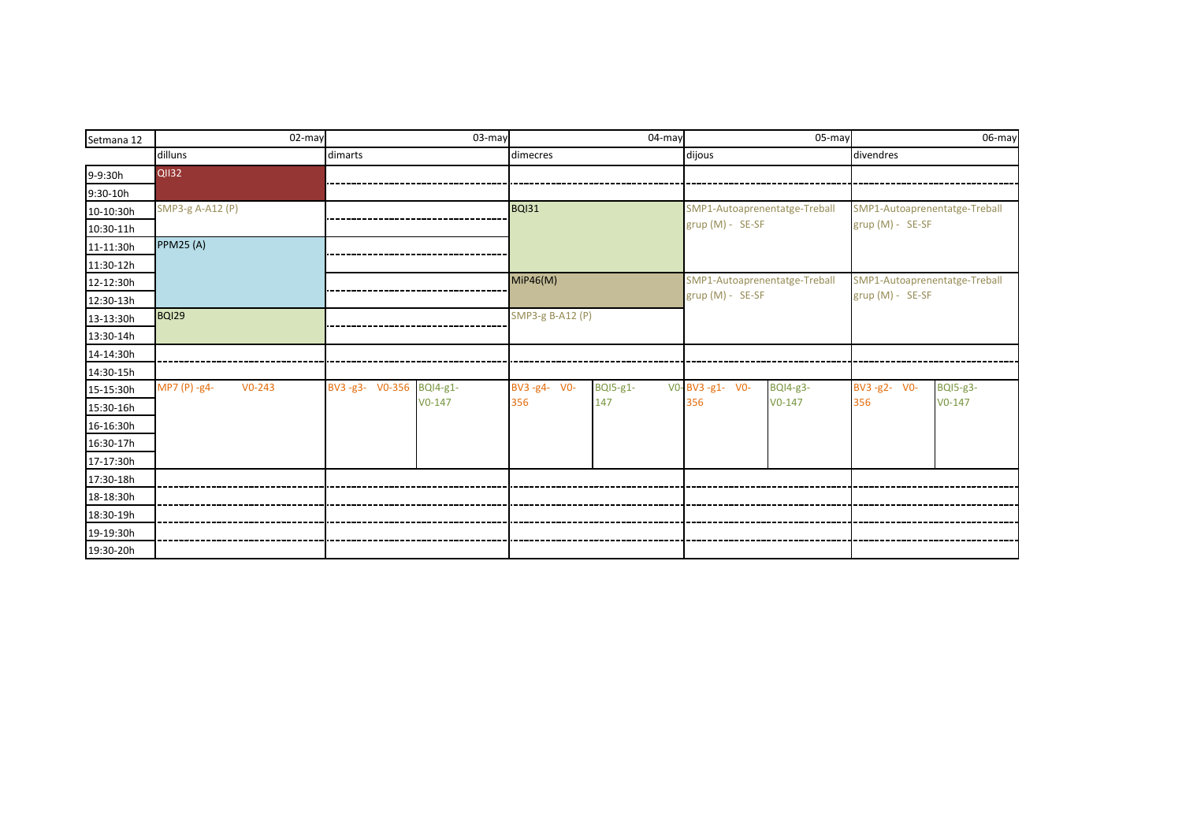| Setmana 12 | 02-may                   |                         | 03-may   |                  | $04$ -may       |                               | 05-may          |                               | 06-may          |
|------------|--------------------------|-------------------------|----------|------------------|-----------------|-------------------------------|-----------------|-------------------------------|-----------------|
|            | dilluns                  | dimarts                 |          | dimecres         |                 | dijous                        |                 | divendres                     |                 |
| 9-9:30h    | <b>QII32</b>             |                         |          |                  |                 |                               |                 |                               |                 |
| $9:30-10h$ |                          |                         |          |                  |                 |                               |                 |                               |                 |
| 10-10:30h  | SMP3-g A-A12 (P)         |                         |          | <b>BQI31</b>     |                 | SMP1-Autoaprenentatge-Treball |                 | SMP1-Autoaprenentatge-Treball |                 |
| 10:30-11h  |                          |                         |          |                  |                 | grup (M) - SE-SF              |                 | grup (M) - SE-SF              |                 |
| 11-11:30h  | <b>PPM25 (A)</b>         |                         |          |                  |                 |                               |                 |                               |                 |
| 11:30-12h  |                          |                         |          |                  |                 |                               |                 |                               |                 |
| 12-12:30h  |                          |                         |          | MiP46(M)         |                 | SMP1-Autoaprenentatge-Treball |                 | SMP1-Autoaprenentatge-Treball |                 |
| 12:30-13h  |                          |                         |          |                  |                 | grup (M) - SE-SF              |                 | grup (M) - SE-SF              |                 |
| 13-13:30h  | <b>BQI29</b>             |                         |          | SMP3-g B-A12 (P) |                 |                               |                 |                               |                 |
| 13:30-14h  |                          |                         |          |                  |                 |                               |                 |                               |                 |
| 14-14:30h  |                          |                         |          |                  |                 |                               |                 |                               |                 |
| 14:30-15h  |                          |                         |          |                  |                 |                               |                 |                               |                 |
| 15-15:30h  | MP7 (P) -g4-<br>$V0-243$ | BV3-g3- V0-356 BQI4-g1- |          | BV3-g4- V0-      | <b>BQI5-g1-</b> | VO-BV3-g1- VO-                | <b>BQI4-g3-</b> | BV3-g2- V0-                   | <b>BQI5-g3-</b> |
| 15:30-16h  |                          |                         | $V0-147$ | 356              | 147             | 356                           | $V0-147$        | 356                           | $V0-147$        |
| 16-16:30h  |                          |                         |          |                  |                 |                               |                 |                               |                 |
| 16:30-17h  |                          |                         |          |                  |                 |                               |                 |                               |                 |
| 17-17:30h  |                          |                         |          |                  |                 |                               |                 |                               |                 |
| 17:30-18h  |                          |                         |          |                  |                 |                               |                 |                               |                 |
| 18-18:30h  |                          |                         |          |                  |                 |                               |                 |                               |                 |
| 18:30-19h  |                          |                         |          |                  |                 |                               |                 |                               |                 |
| 19-19:30h  |                          |                         |          |                  |                 |                               |                 |                               |                 |
| 19:30-20h  |                          |                         |          |                  |                 |                               |                 |                               |                 |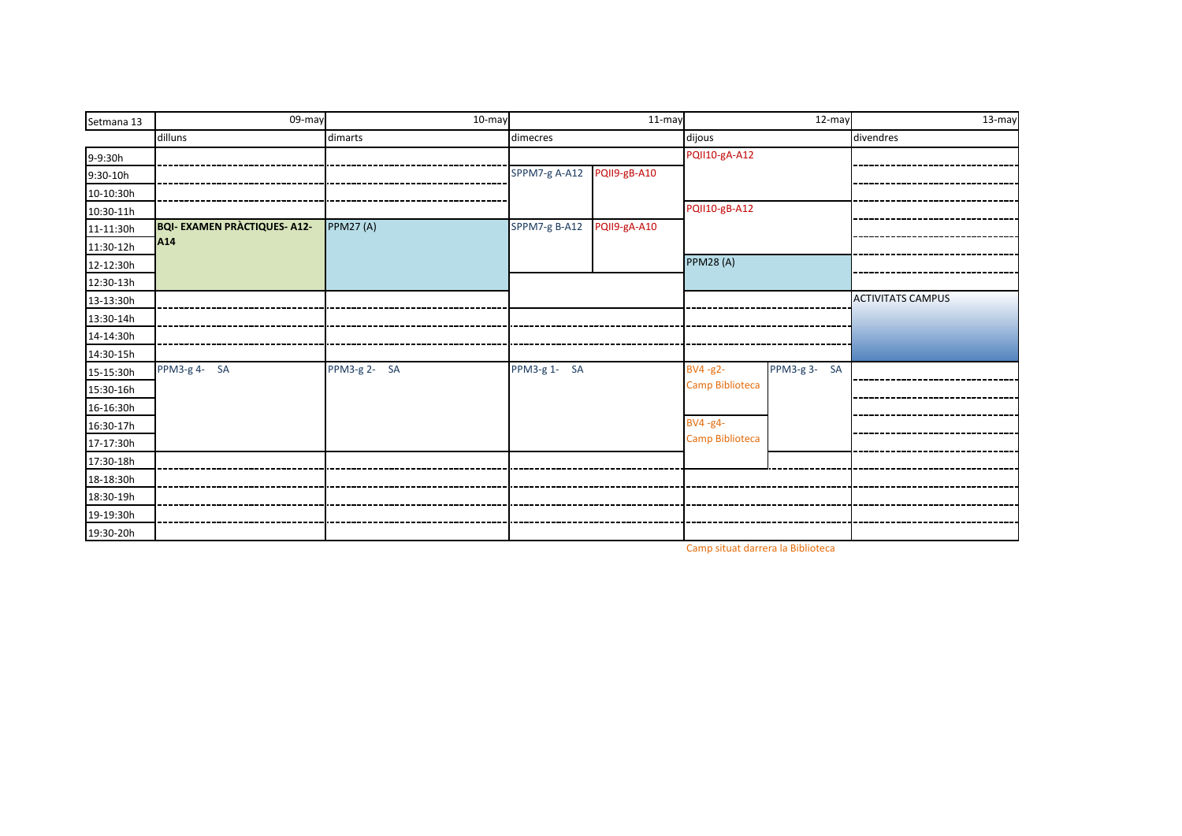| Setmana 13 | 09-may                              | 10-may           |               | 11-may       |                      | $\overline{12}$ -may | $13-may$                 |
|------------|-------------------------------------|------------------|---------------|--------------|----------------------|----------------------|--------------------------|
|            | dilluns                             | dimarts          | dimecres      |              | dijous               |                      | divendres                |
| 9-9:30h    |                                     |                  |               |              | PQII10-gA-A12        |                      |                          |
| $9:30-10h$ |                                     |                  | SPPM7-g A-A12 | PQII9-gB-A10 |                      |                      |                          |
| 10-10:30h  |                                     |                  |               |              |                      |                      |                          |
| 10:30-11h  |                                     |                  |               |              | <b>PQII10-gB-A12</b> |                      |                          |
| 11-11:30h  | <b>BQI- EXAMEN PRÀCTIQUES- A12-</b> | <b>PPM27 (A)</b> | SPPM7-g B-A12 | PQII9-gA-A10 |                      |                      |                          |
| 11:30-12h  | A <sub>14</sub>                     |                  |               |              |                      |                      |                          |
| 12-12:30h  |                                     |                  |               |              | <b>PPM28 (A)</b>     |                      |                          |
| 12:30-13h  |                                     |                  |               |              |                      |                      |                          |
| 13-13:30h  |                                     |                  |               |              |                      |                      | <b>ACTIVITATS CAMPUS</b> |
| 13:30-14h  |                                     |                  |               |              |                      |                      |                          |
| 14-14:30h  |                                     |                  |               |              |                      |                      |                          |
| 14:30-15h  |                                     |                  |               |              |                      |                      |                          |
| 15-15:30h  | PPM3-g 4- SA                        | PPM3-g 2- SA     | PPM3-g 1-SA   |              | BV4-g2-              | PPM3-g 3-SA          |                          |
| 15:30-16h  |                                     |                  |               |              | Camp Biblioteca      |                      |                          |
| 16-16:30h  |                                     |                  |               |              |                      |                      |                          |
| 16:30-17h  |                                     |                  |               |              | BV4-g4-              |                      |                          |
| 17-17:30h  |                                     |                  |               |              | Camp Biblioteca      |                      |                          |
| 17:30-18h  |                                     |                  |               |              |                      |                      |                          |
| 18-18:30h  |                                     |                  |               |              |                      |                      |                          |
| 18:30-19h  |                                     |                  |               |              |                      |                      |                          |
| 19-19:30h  |                                     |                  |               |              |                      |                      |                          |
| 19:30-20h  |                                     |                  |               |              |                      |                      |                          |

Camp situat darrera la Biblioteca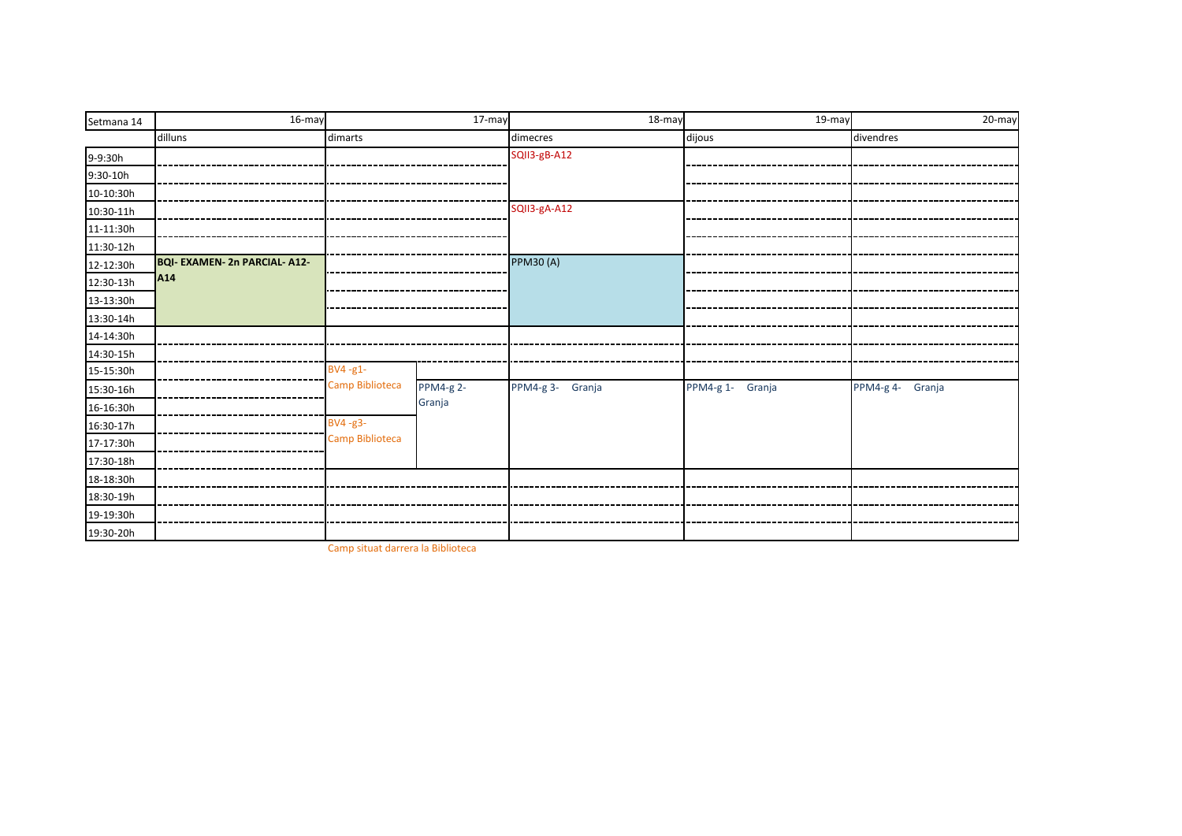| Setmana 14 | 16-may                            |                 | $17-may$         | 18-may           | $19-may$         | 20-may           |
|------------|-----------------------------------|-----------------|------------------|------------------|------------------|------------------|
|            | dilluns                           | dimarts         |                  | dimecres         | dijous           | divendres        |
| 9-9:30h    |                                   |                 |                  | SQII3-gB-A12     |                  |                  |
| 9:30-10h   |                                   |                 |                  |                  |                  |                  |
| 10-10:30h  |                                   |                 |                  |                  |                  |                  |
| 10:30-11h  |                                   |                 |                  | SQII3-gA-A12     |                  |                  |
| 11-11:30h  |                                   |                 |                  |                  |                  |                  |
| 11:30-12h  |                                   |                 |                  |                  |                  |                  |
| 12-12:30h  | <b>BQI-EXAMEN-2n PARCIAL-A12-</b> |                 |                  | <b>PPM30 (A)</b> |                  |                  |
| 12:30-13h  | A <sub>14</sub>                   |                 |                  |                  |                  |                  |
| 13-13:30h  |                                   |                 |                  |                  |                  |                  |
| 13:30-14h  |                                   |                 |                  |                  |                  |                  |
| 14-14:30h  |                                   |                 |                  |                  |                  |                  |
| 14:30-15h  |                                   |                 |                  |                  |                  |                  |
| 15-15:30h  |                                   | $BV4 - g1$ -    |                  |                  |                  |                  |
| 15:30-16h  |                                   | Camp Biblioteca | <b>PPM4-g 2-</b> | PPM4-g 3- Granja | PPM4-g 1- Granja | PPM4-g 4- Granja |
| 16-16:30h  |                                   |                 | Granja           |                  |                  |                  |
| 16:30-17h  |                                   | $BV4 - g3$ -    |                  |                  |                  |                  |
| 17-17:30h  |                                   | Camp Biblioteca |                  |                  |                  |                  |
| 17:30-18h  |                                   |                 |                  |                  |                  |                  |
| 18-18:30h  |                                   |                 |                  |                  |                  |                  |
| 18:30-19h  |                                   |                 |                  |                  |                  |                  |
| 19-19:30h  |                                   |                 |                  |                  |                  |                  |
| 19:30-20h  |                                   |                 |                  |                  |                  |                  |

Camp situat darrera la Biblioteca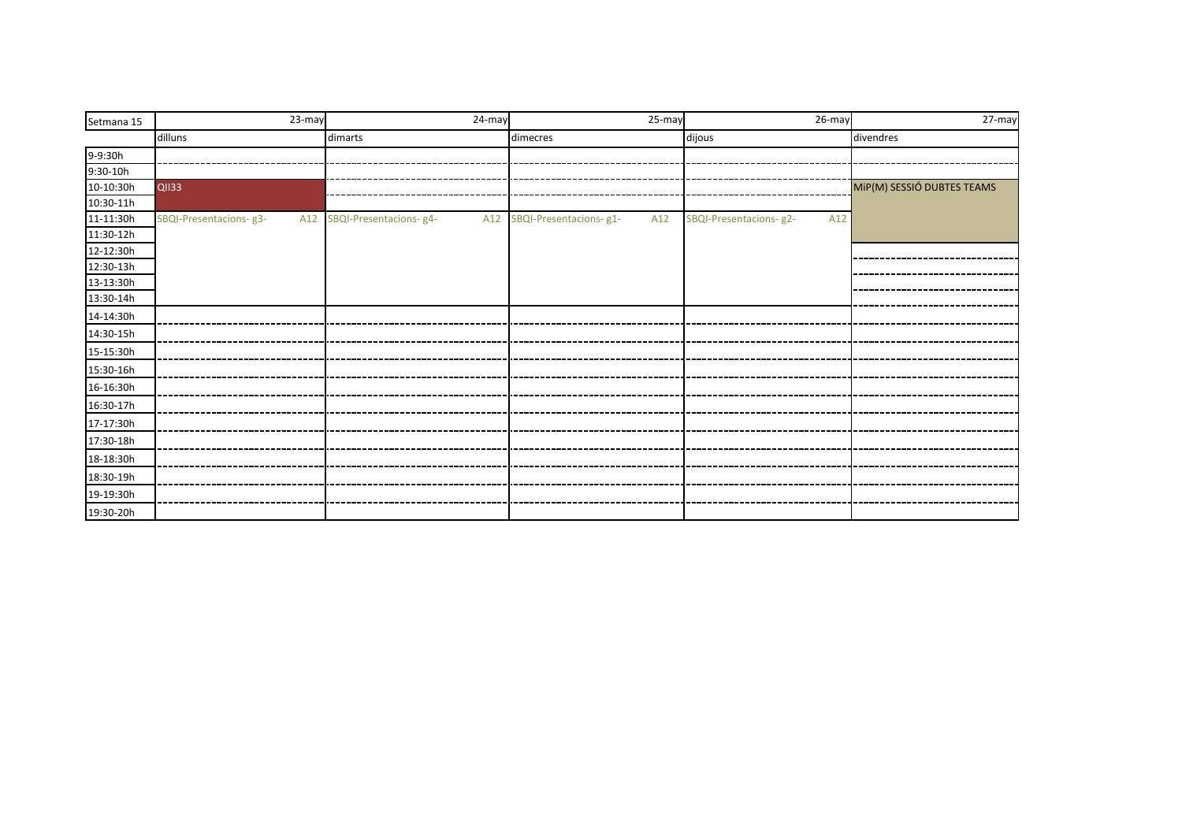| Setmana 15 | 23-may                 | 24-may                      | 25-may                             | $\overline{26}$ -may          | 27-may                     |
|------------|------------------------|-----------------------------|------------------------------------|-------------------------------|----------------------------|
|            | dilluns                | dimarts                     | dimecres                           | dijous                        | divendres                  |
| 9-9:30h    |                        |                             |                                    |                               |                            |
| $9:30-10h$ |                        |                             |                                    |                               |                            |
| 10-10:30h  | <b>QII33</b>           |                             |                                    |                               | MiP(M) SESSIÓ DUBTES TEAMS |
| 10:30-11h  |                        |                             |                                    |                               |                            |
| 11-11:30h  | SBQI-Presentacions-g3- | A12 SBQI-Presentacions- g4- | A12 SBQI-Presentacions- g1-<br>A12 | SBQI-Presentacions-g2-<br>A12 |                            |
| 11:30-12h  |                        |                             |                                    |                               |                            |
| 12-12:30h  |                        |                             |                                    |                               |                            |
| 12:30-13h  |                        |                             |                                    |                               |                            |
| 13-13:30h  |                        |                             |                                    |                               |                            |
| 13:30-14h  |                        |                             |                                    |                               |                            |
| 14-14:30h  |                        |                             |                                    |                               |                            |
| 14:30-15h  |                        |                             |                                    |                               |                            |
| 15-15:30h  |                        |                             |                                    |                               |                            |
| 15:30-16h  |                        |                             |                                    |                               |                            |
| 16-16:30h  |                        |                             |                                    |                               |                            |
| 16:30-17h  |                        |                             |                                    |                               |                            |
| 17-17:30h  |                        |                             |                                    |                               |                            |
| 17:30-18h  |                        |                             |                                    |                               |                            |
| 18-18:30h  |                        |                             | __________________________         |                               |                            |
| 18:30-19h  |                        |                             |                                    |                               |                            |
| 19-19:30h  |                        |                             |                                    |                               |                            |
| 19:30-20h  |                        |                             |                                    |                               |                            |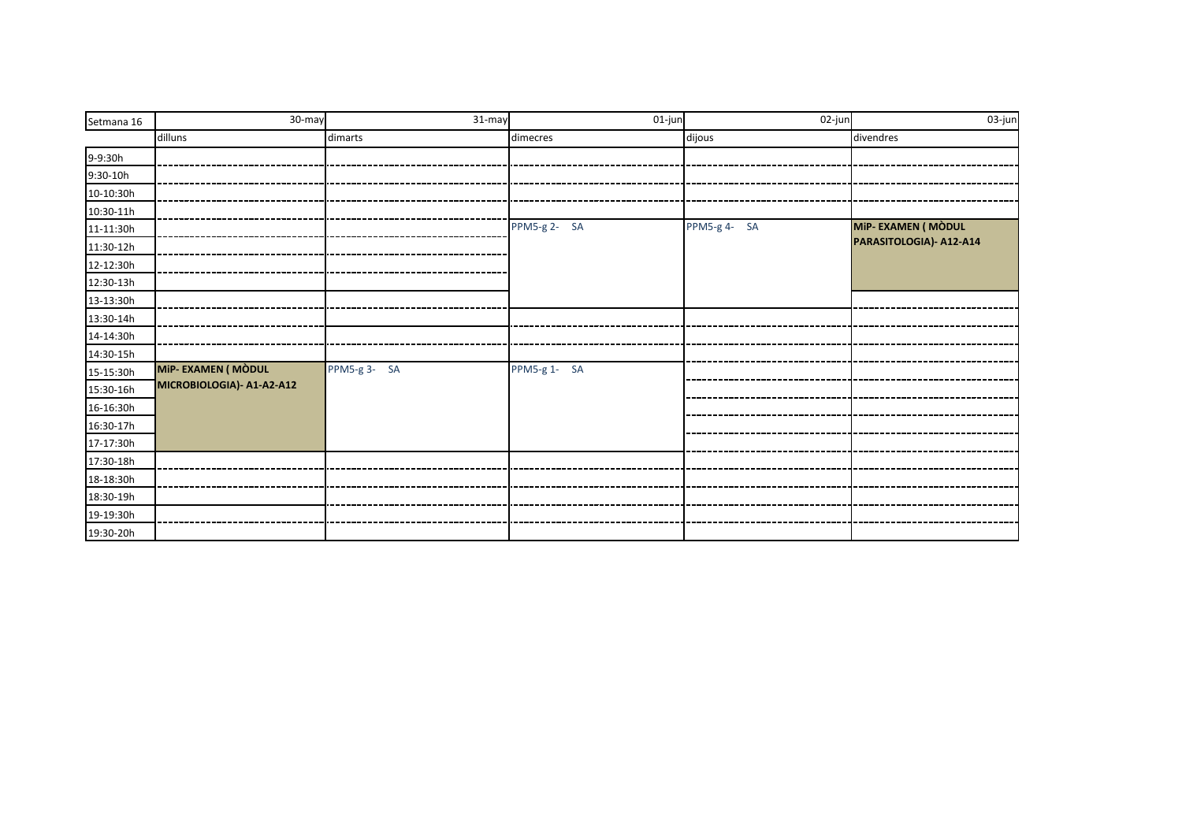| Setmana 16 | 30-may                    | 31-may      | 01-jun       | $\overline{02}$ -jun | 03-jun                  |
|------------|---------------------------|-------------|--------------|----------------------|-------------------------|
|            | dilluns                   | dimarts     | dimecres     | dijous               | divendres               |
| 9-9:30h    |                           |             |              |                      |                         |
| $9:30-10h$ |                           |             |              |                      |                         |
| 10-10:30h  |                           |             |              |                      |                         |
| 10:30-11h  |                           |             |              |                      |                         |
| 11-11:30h  |                           |             | PPM5-g 2- SA | PPM5-g 4- SA         | MiP-EXAMEN (MÒDUL       |
| 11:30-12h  |                           |             |              |                      | PARASITOLOGIA)- A12-A14 |
| 12-12:30h  |                           |             |              |                      |                         |
| 12:30-13h  |                           |             |              |                      |                         |
| 13-13:30h  |                           |             |              |                      |                         |
| 13:30-14h  |                           |             |              |                      |                         |
| 14-14:30h  |                           |             |              |                      |                         |
| 14:30-15h  |                           |             |              |                      |                         |
| 15-15:30h  | MiP-EXAMEN (MÒDUL         | PPM5-g 3-SA | PPM5-g 1- SA |                      |                         |
| 15:30-16h  | MICROBIOLOGIA)- A1-A2-A12 |             |              |                      |                         |
| 16-16:30h  |                           |             |              |                      |                         |
| 16:30-17h  |                           |             |              |                      |                         |
| 17-17:30h  |                           |             |              |                      |                         |
| 17:30-18h  |                           |             |              |                      |                         |
| 18-18:30h  |                           |             |              |                      |                         |
| 18:30-19h  |                           |             |              |                      |                         |
| 19-19:30h  |                           |             |              |                      |                         |
| 19:30-20h  |                           |             |              |                      |                         |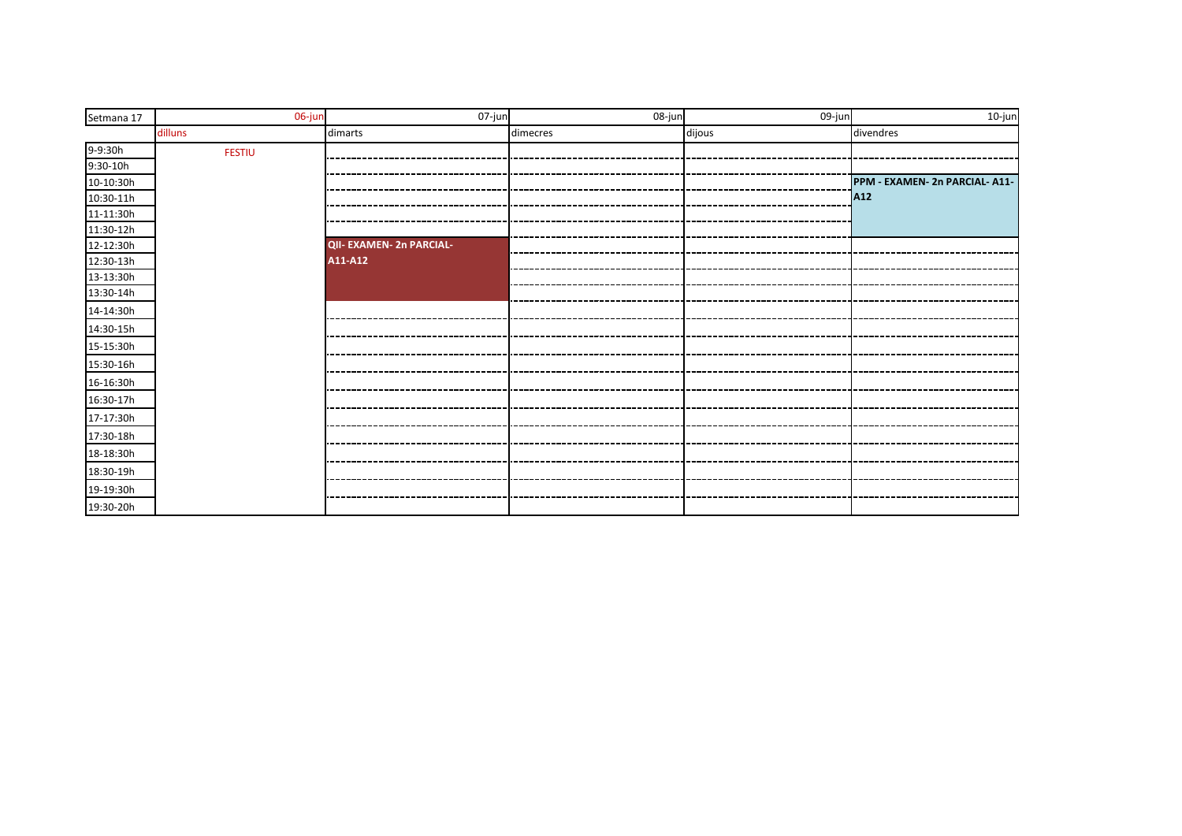| Setmana 17 | 06-jun        | 07-jun                   | 08-jun   | 09-jun | 10-jun                         |
|------------|---------------|--------------------------|----------|--------|--------------------------------|
|            | dilluns       | dimarts                  | dimecres | dijous | divendres                      |
| 9-9:30h    | <b>FESTIU</b> |                          |          |        |                                |
| $9:30-10h$ |               |                          |          |        |                                |
| 10-10:30h  |               |                          |          |        | PPM - EXAMEN- 2n PARCIAL- A11- |
| 10:30-11h  |               |                          |          |        | A12                            |
| 11-11:30h  |               |                          |          |        |                                |
| 11:30-12h  |               |                          |          |        |                                |
| 12-12:30h  |               | QII- EXAMEN- 2n PARCIAL- |          |        |                                |
| 12:30-13h  |               | A11-A12                  |          |        |                                |
| 13-13:30h  |               |                          |          |        |                                |
| 13:30-14h  |               |                          |          |        |                                |
| 14-14:30h  |               |                          |          |        |                                |
| 14:30-15h  |               |                          |          |        |                                |
| 15-15:30h  |               |                          |          |        |                                |
| 15:30-16h  |               |                          |          |        |                                |
| 16-16:30h  |               |                          |          |        |                                |
|            |               |                          |          |        |                                |
| 16:30-17h  |               |                          |          |        |                                |
| 17-17:30h  |               |                          |          |        |                                |
| 17:30-18h  |               |                          |          |        |                                |
| 18-18:30h  |               |                          |          |        |                                |
| 18:30-19h  |               |                          |          |        |                                |
| 19-19:30h  |               |                          |          |        |                                |
| 19:30-20h  |               |                          |          |        |                                |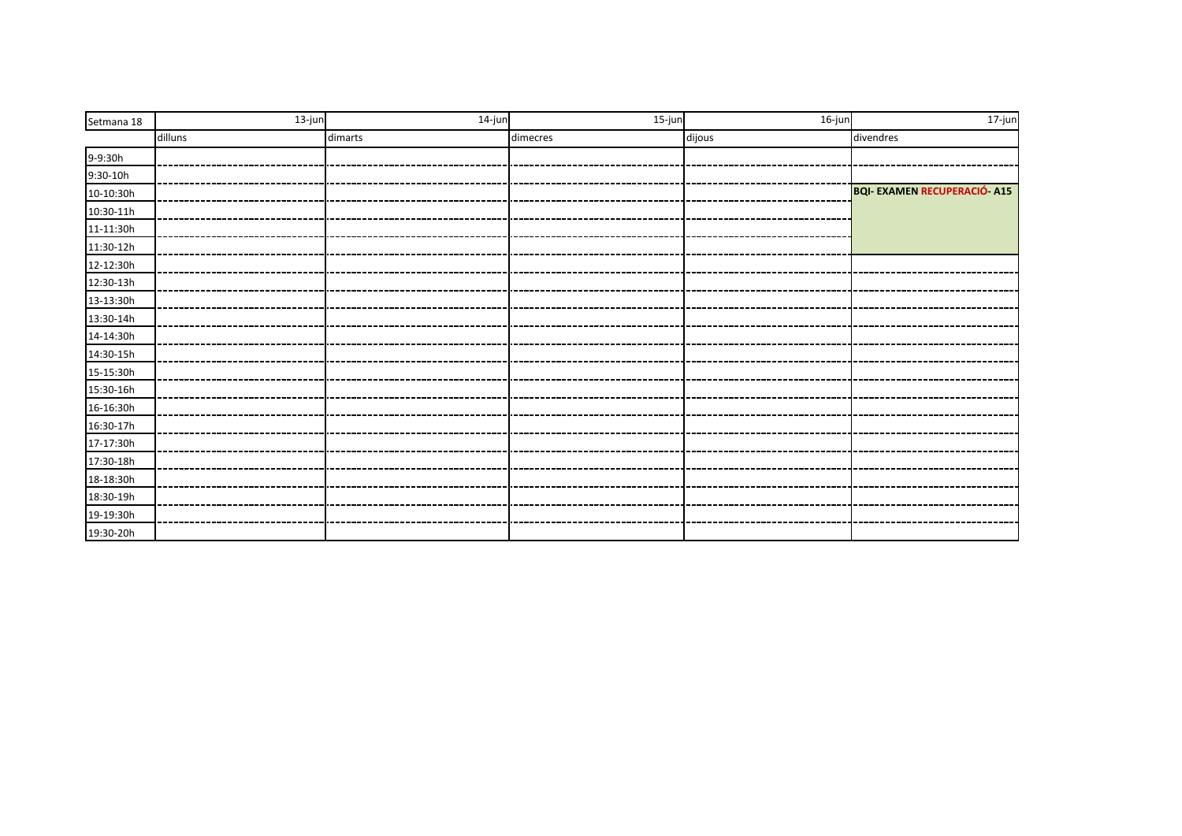| Setmana 18 | $13$ -jun | 14-jun  | 15-jun   | 16-jun | $17$ -jun                           |
|------------|-----------|---------|----------|--------|-------------------------------------|
|            | dilluns   | dimarts | dimecres | dijous | divendres                           |
| 9-9:30h    |           |         |          |        |                                     |
| $9:30-10h$ |           |         |          |        |                                     |
| 10-10:30h  |           |         |          |        | <b>BQI- EXAMEN RECUPERACIÓ- A15</b> |
| 10:30-11h  |           |         |          |        |                                     |
| 11-11:30h  |           |         |          |        |                                     |
| 11:30-12h  |           |         |          |        |                                     |
| 12-12:30h  |           |         |          |        |                                     |
| 12:30-13h  |           |         |          |        |                                     |
| 13-13:30h  |           |         |          |        |                                     |
| 13:30-14h  |           |         |          |        |                                     |
| 14-14:30h  |           |         |          |        |                                     |
| 14:30-15h  |           |         |          |        |                                     |
| 15-15:30h  |           |         |          |        |                                     |
| 15:30-16h  |           |         |          |        |                                     |
| 16-16:30h  |           |         |          |        |                                     |
| 16:30-17h  |           |         |          |        |                                     |
| 17-17:30h  |           |         |          |        |                                     |
| 17:30-18h  |           |         |          |        |                                     |
| 18-18:30h  |           |         |          |        |                                     |
| 18:30-19h  |           |         |          |        |                                     |
| 19-19:30h  |           |         |          |        |                                     |
| 19:30-20h  |           |         |          |        |                                     |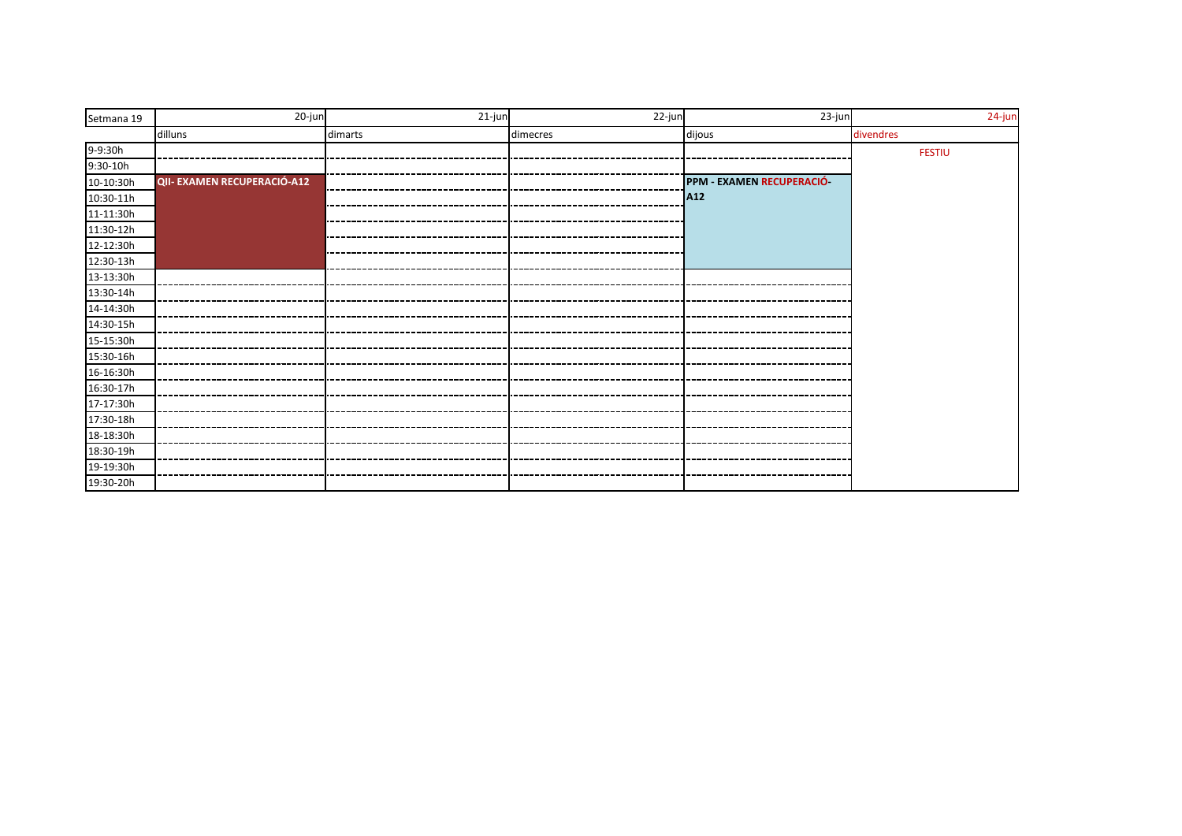| Setmana 19 | 20-jun                      | 21-jun  | 22-jun   | 23-jun                   | 24-jun        |
|------------|-----------------------------|---------|----------|--------------------------|---------------|
|            | dilluns                     | dimarts | dimecres | dijous                   | divendres     |
| 9-9:30h    |                             |         |          |                          | <b>FESTIU</b> |
| $9:30-10h$ |                             |         |          |                          |               |
| 10-10:30h  | QII- EXAMEN RECUPERACIÓ-A12 |         |          | PPM - EXAMEN RECUPERACIÓ |               |
| 10:30-11h  |                             |         |          | A <sub>12</sub>          |               |
| 11-11:30h  |                             |         |          |                          |               |
| 11:30-12h  |                             |         |          |                          |               |
| 12-12:30h  |                             |         |          |                          |               |
| 12:30-13h  |                             |         |          |                          |               |
| 13-13:30h  |                             |         |          |                          |               |
| 13:30-14h  |                             |         |          |                          |               |
| 14-14:30h  |                             |         |          |                          |               |
| 14:30-15h  |                             |         |          |                          |               |
| 15-15:30h  |                             |         |          |                          |               |
| 15:30-16h  |                             |         |          |                          |               |
| 16-16:30h  |                             |         |          |                          |               |
| 16:30-17h  |                             |         |          |                          |               |
| 17-17:30h  |                             |         |          |                          |               |
| 17:30-18h  |                             |         |          |                          |               |
| 18-18:30h  |                             |         |          |                          |               |
| 18:30-19h  |                             |         |          |                          |               |
| 19-19:30h  |                             |         |          |                          |               |
| 19:30-20h  |                             |         |          |                          |               |